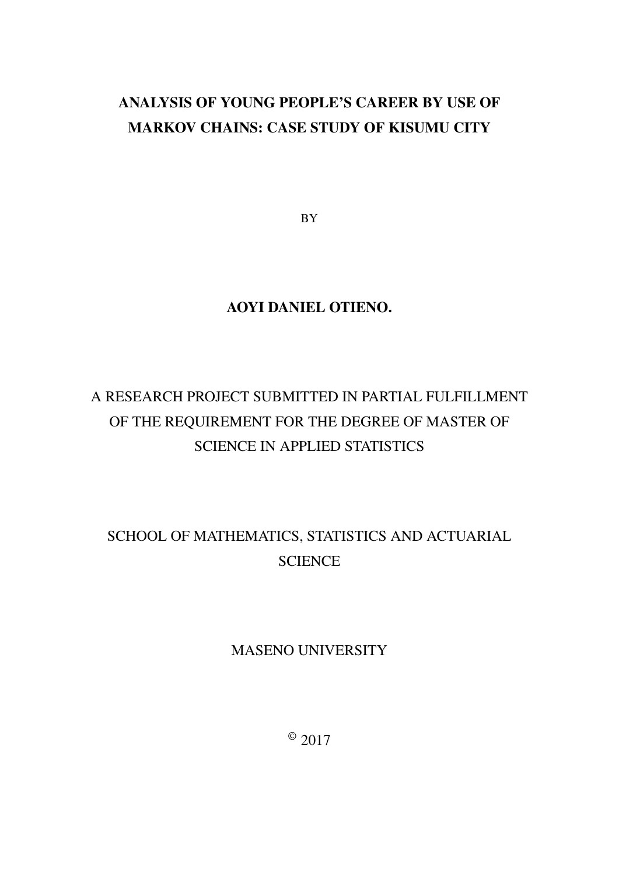# <span id="page-0-0"></span>ANALYSIS OF YOUNG PEOPLE'S CAREER BY USE OF MARKOV CHAINS: CASE STUDY OF KISUMU CITY

BY

### AOYI DANIEL OTIENO.

# A RESEARCH PROJECT SUBMITTED IN PARTIAL FULFILLMENT OF THE REQUIREMENT FOR THE DEGREE OF MASTER OF SCIENCE IN APPLIED STATISTICS

# SCHOOL OF MATHEMATICS, STATISTICS AND ACTUARIAL **SCIENCE**

### MASENO UNIVERSITY

 $^{\circ}$  2017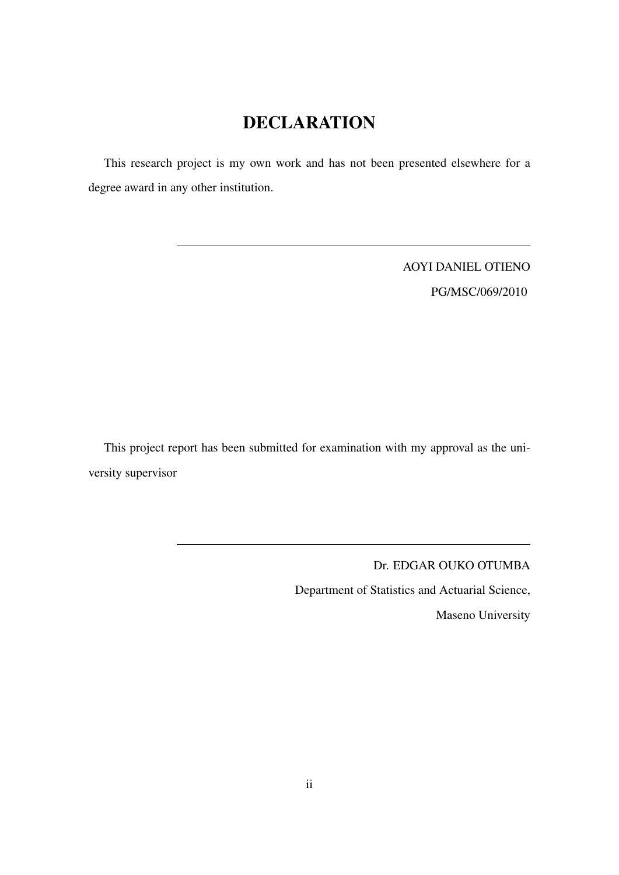# <span id="page-1-0"></span>DECLARATION

This research project is my own work and has not been presented elsewhere for a degree award in any other institution.

> AOYI DANIEL OTIENO PG/MSC/069/2010

This project report has been submitted for examination with my approval as the university supervisor

Dr. EDGAR OUKO OTUMBA

Department of Statistics and Actuarial Science,

Maseno University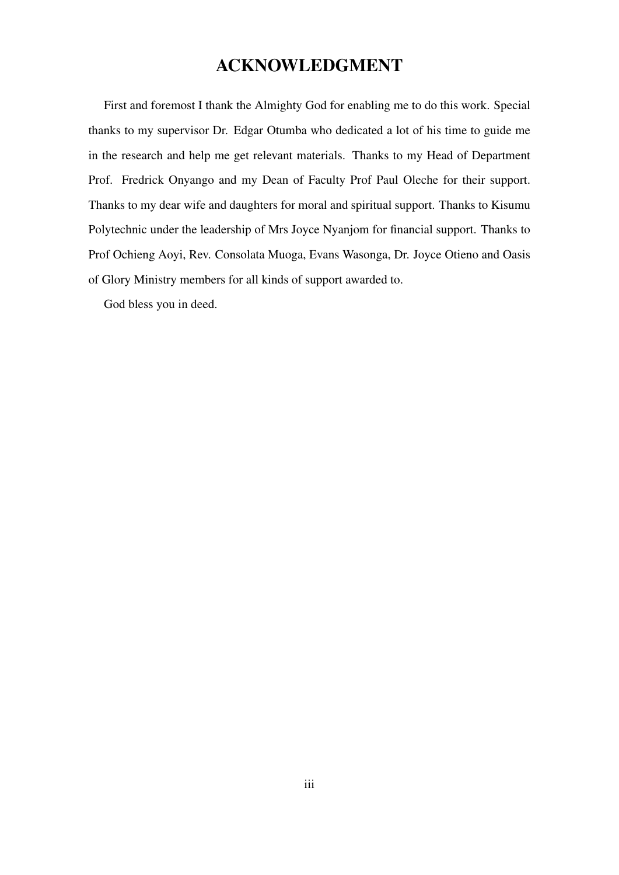## <span id="page-2-0"></span>ACKNOWLEDGMENT

First and foremost I thank the Almighty God for enabling me to do this work. Special thanks to my supervisor Dr. Edgar Otumba who dedicated a lot of his time to guide me in the research and help me get relevant materials. Thanks to my Head of Department Prof. Fredrick Onyango and my Dean of Faculty Prof Paul Oleche for their support. Thanks to my dear wife and daughters for moral and spiritual support. Thanks to Kisumu Polytechnic under the leadership of Mrs Joyce Nyanjom for financial support. Thanks to Prof Ochieng Aoyi, Rev. Consolata Muoga, Evans Wasonga, Dr. Joyce Otieno and Oasis of Glory Ministry members for all kinds of support awarded to.

God bless you in deed.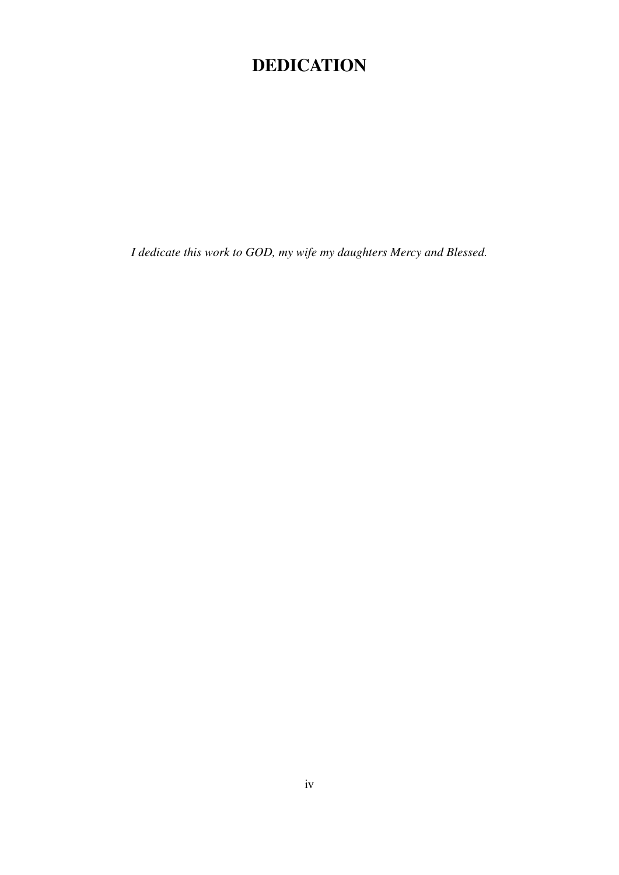# <span id="page-3-0"></span>DEDICATION

*I dedicate this work to GOD, my wife my daughters Mercy and Blessed.*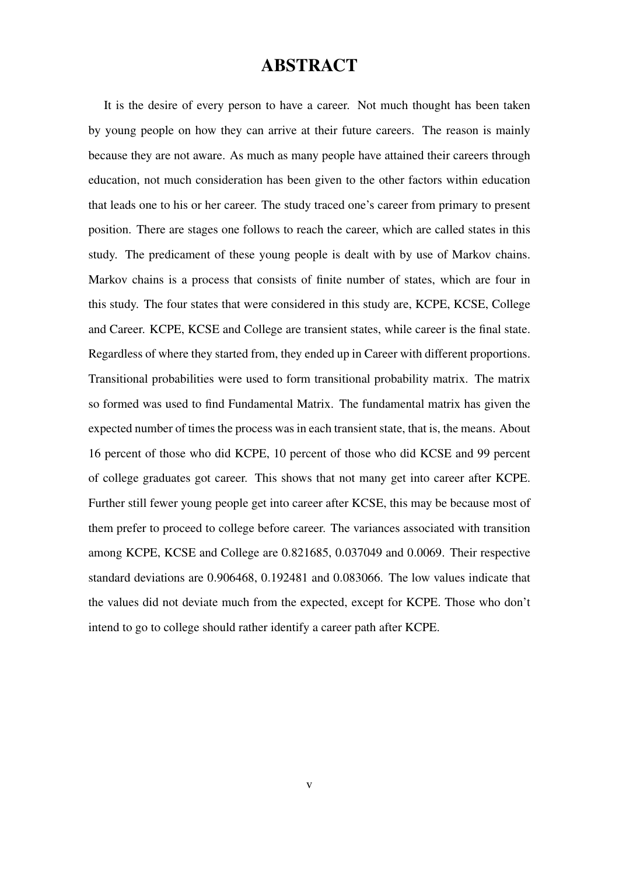### <span id="page-4-0"></span>ABSTRACT

It is the desire of every person to have a career. Not much thought has been taken by young people on how they can arrive at their future careers. The reason is mainly because they are not aware. As much as many people have attained their careers through education, not much consideration has been given to the other factors within education that leads one to his or her career. The study traced one's career from primary to present position. There are stages one follows to reach the career, which are called states in this study. The predicament of these young people is dealt with by use of Markov chains. Markov chains is a process that consists of finite number of states, which are four in this study. The four states that were considered in this study are, KCPE, KCSE, College and Career. KCPE, KCSE and College are transient states, while career is the final state. Regardless of where they started from, they ended up in Career with different proportions. Transitional probabilities were used to form transitional probability matrix. The matrix so formed was used to find Fundamental Matrix. The fundamental matrix has given the expected number of times the process was in each transient state, that is, the means. About 16 percent of those who did KCPE, 10 percent of those who did KCSE and 99 percent of college graduates got career. This shows that not many get into career after KCPE. Further still fewer young people get into career after KCSE, this may be because most of them prefer to proceed to college before career. The variances associated with transition among KCPE, KCSE and College are 0.821685, 0.037049 and 0.0069. Their respective standard deviations are 0.906468, 0.192481 and 0.083066. The low values indicate that the values did not deviate much from the expected, except for KCPE. Those who don't intend to go to college should rather identify a career path after KCPE.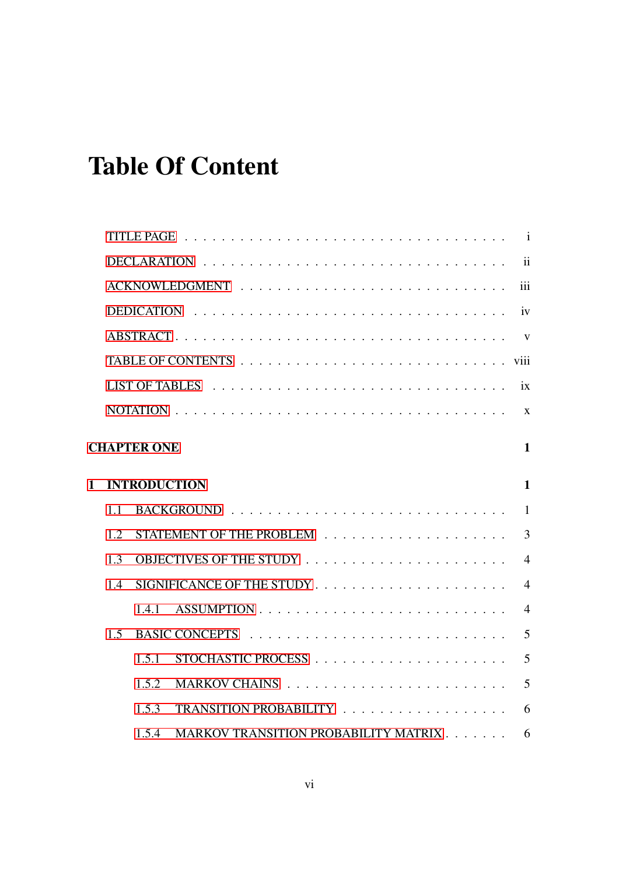# <span id="page-5-0"></span>Table Of Content

|              |     | <b>CHAPTER ONE</b>  |                                      | $\mathbf{1}$   |
|--------------|-----|---------------------|--------------------------------------|----------------|
| $\mathbf{1}$ |     | <b>INTRODUCTION</b> |                                      | $\mathbf{1}$   |
|              | 1.1 |                     |                                      | $\overline{1}$ |
|              | 1.2 |                     |                                      | $\overline{3}$ |
|              | 1.3 |                     |                                      | $\overline{4}$ |
|              | 1.4 |                     |                                      | $\overline{4}$ |
|              |     | 1.4.1               |                                      | $\overline{4}$ |
|              | 1.5 |                     |                                      | 5              |
|              |     | 1, 5, 1             |                                      | 5              |
|              |     | 1.5.2               |                                      |                |
|              |     | 1.5.3               |                                      | 6              |
|              |     | 1.5.4               | MARKOV TRANSITION PROBABILITY MATRIX | 6              |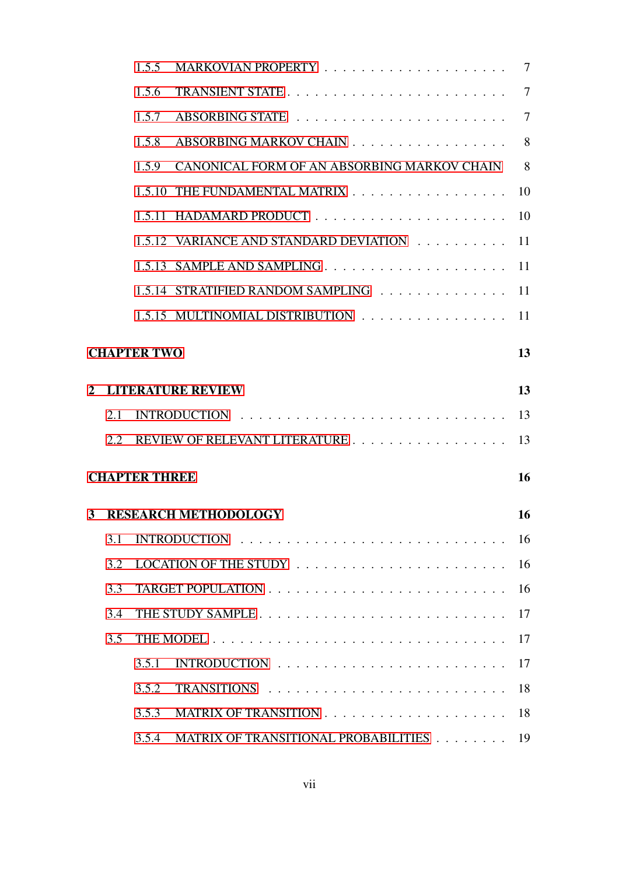|                |     | 1.5.5                |                                                                               | $\overline{7}$ |
|----------------|-----|----------------------|-------------------------------------------------------------------------------|----------------|
|                |     | 1.5.6                |                                                                               | $\overline{7}$ |
|                |     | 1.5.7                |                                                                               | $\overline{7}$ |
|                |     | 1.5.8                | ABSORBING MARKOV CHAIN                                                        | 8              |
|                |     | 1.5.9                | CANONICAL FORM OF AN ABSORBING MARKOV CHAIN                                   | 8              |
|                |     |                      | 1.5.10 THE FUNDAMENTAL MATRIX 10                                              |                |
|                |     |                      |                                                                               | 10             |
|                |     |                      | 1.5.12 VARIANCE AND STANDARD DEVIATION 11                                     |                |
|                |     |                      |                                                                               |                |
|                |     |                      | 1.5.14 STRATIFIED RANDOM SAMPLING  11                                         |                |
|                |     |                      | 1.5.15 MULTINOMIAL DISTRIBUTION                                               | 11             |
|                |     | <b>CHAPTER TWO</b>   |                                                                               | 13             |
| $\overline{2}$ |     |                      | <b>LITERATURE REVIEW</b>                                                      | 13             |
|                | 2.1 |                      | INTRODUCTION $\ldots \ldots \ldots \ldots \ldots \ldots \ldots \ldots \ldots$ | 13             |
|                | 2.2 |                      | REVIEW OF RELEVANT LITERATURE                                                 | 13             |
|                |     | <b>CHAPTER THREE</b> |                                                                               | 16             |
|                |     |                      | <b>3 RESEARCH METHODOLOGY</b>                                                 | 16             |
|                | 3.1 |                      |                                                                               | 16             |
|                | 3.2 |                      |                                                                               | 16             |
|                | 3.3 |                      |                                                                               | 16             |
|                | 3.4 |                      |                                                                               | 17             |
|                | 3.5 |                      |                                                                               | 17             |
|                |     | 3.5.1                |                                                                               | 17             |
|                |     | 3.5.2                |                                                                               | 18             |
|                |     | 3.5.3                |                                                                               | 18             |
|                |     | 3.5.4                | MATRIX OF TRANSITIONAL PROBABILITIES                                          | 19             |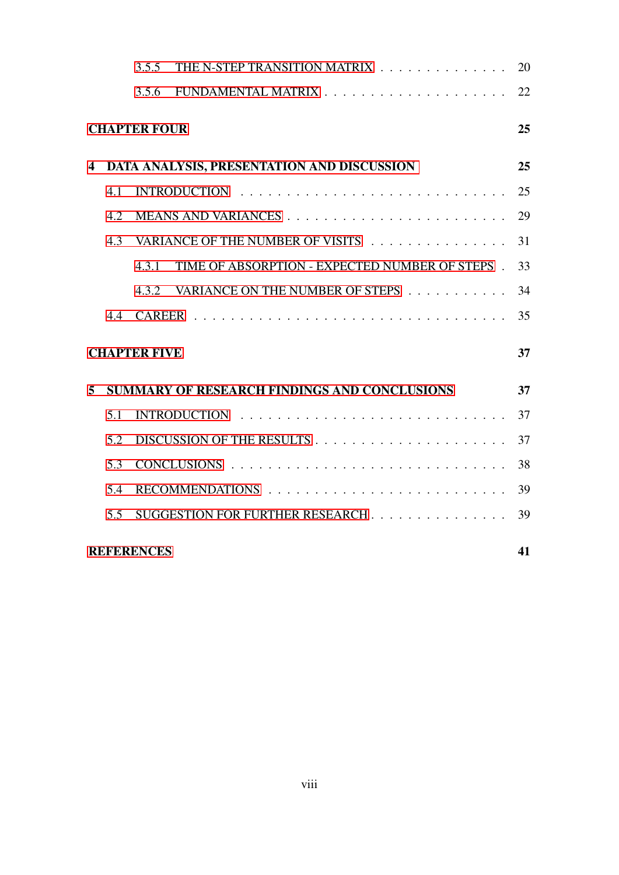|   |     | 3.5.5               | THE N-STEP TRANSITION MATRIX                        | 20 |
|---|-----|---------------------|-----------------------------------------------------|----|
|   |     | 3.5.6               |                                                     | 22 |
|   |     | <b>CHAPTER FOUR</b> |                                                     | 25 |
| 4 |     |                     | DATA ANALYSIS, PRESENTATION AND DISCUSSION          | 25 |
|   | 4.1 |                     |                                                     | 25 |
|   | 4.2 |                     |                                                     | 29 |
|   | 4.3 |                     | VARIANCE OF THE NUMBER OF VISITS                    | 31 |
|   |     | 4.3.1               | TIME OF ABSORPTION - EXPECTED NUMBER OF STEPS.      | 33 |
|   |     | 4.3.2               | VARIANCE ON THE NUMBER OF STEPS                     | 34 |
|   | 4.4 |                     |                                                     | 35 |
|   |     | <b>CHAPTER FIVE</b> |                                                     | 37 |
| 5 |     |                     | <b>SUMMARY OF RESEARCH FINDINGS AND CONCLUSIONS</b> | 37 |
|   | 5.1 |                     |                                                     | 37 |
|   | 5.2 |                     |                                                     | 37 |
|   | 5.3 |                     |                                                     | 38 |
|   | 5.4 |                     |                                                     | 39 |
|   | 5.5 |                     | SUGGESTION FOR FURTHER RESEARCH                     | 39 |
|   |     | <b>REFERENCES</b>   |                                                     | 41 |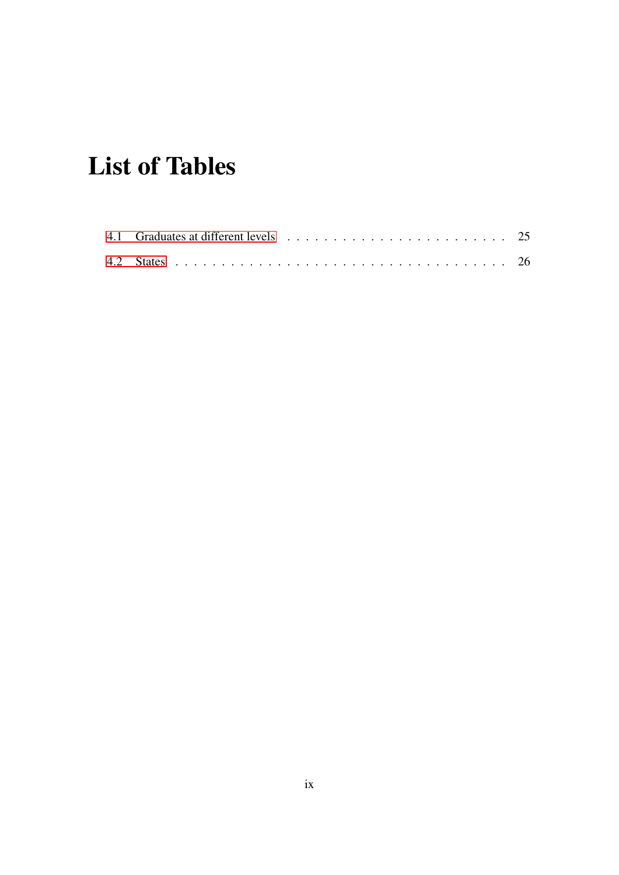# <span id="page-8-0"></span>List of Tables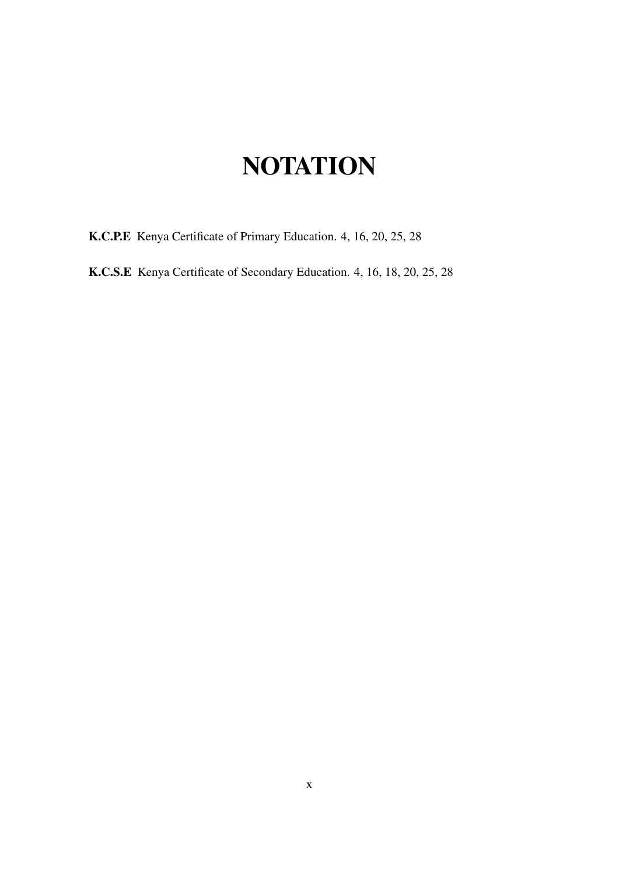# **NOTATION**

<span id="page-9-0"></span>K.C.P.E Kenya Certificate of Primary Education. 4, 16, 20, 25, 28

K.C.S.E Kenya Certificate of Secondary Education. 4, 16, 18, 20, 25, 28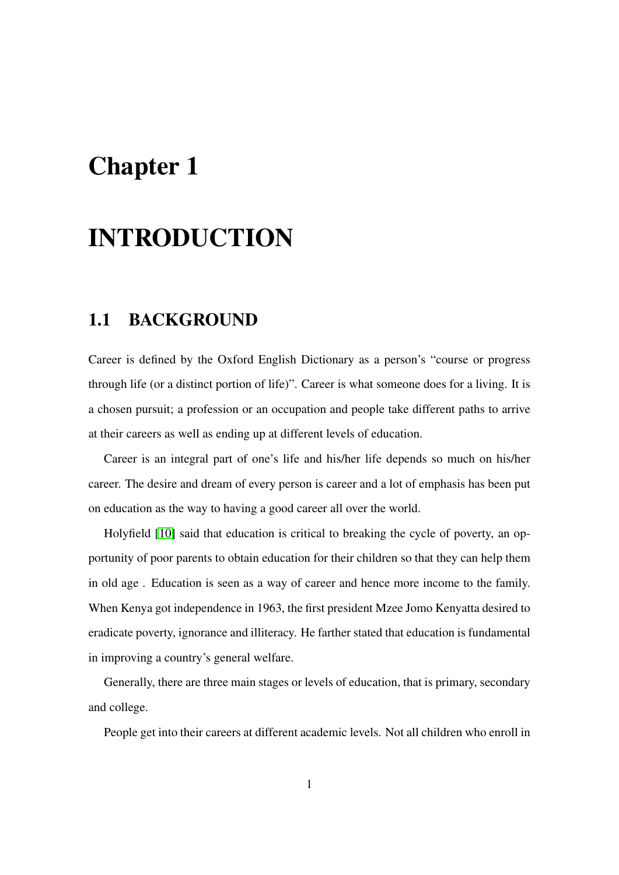# <span id="page-10-0"></span>Chapter 1

# INTRODUCTION

### <span id="page-10-1"></span>1.1 BACKGROUND

Career is defined by the Oxford English Dictionary as a person's "course or progress through life (or a distinct portion of life)". Career is what someone does for a living. It is a chosen pursuit; a profession or an occupation and people take different paths to arrive at their careers as well as ending up at different levels of education.

Career is an integral part of one's life and his/her life depends so much on his/her career. The desire and dream of every person is career and a lot of emphasis has been put on education as the way to having a good career all over the world.

Holyfield [\[10\]](#page-50-0) said that education is critical to breaking the cycle of poverty, an opportunity of poor parents to obtain education for their children so that they can help them in old age . Education is seen as a way of career and hence more income to the family. When Kenya got independence in 1963, the first president Mzee Jomo Kenyatta desired to eradicate poverty, ignorance and illiteracy. He farther stated that education is fundamental in improving a country's general welfare.

Generally, there are three main stages or levels of education, that is primary, secondary and college.

People get into their careers at different academic levels. Not all children who enroll in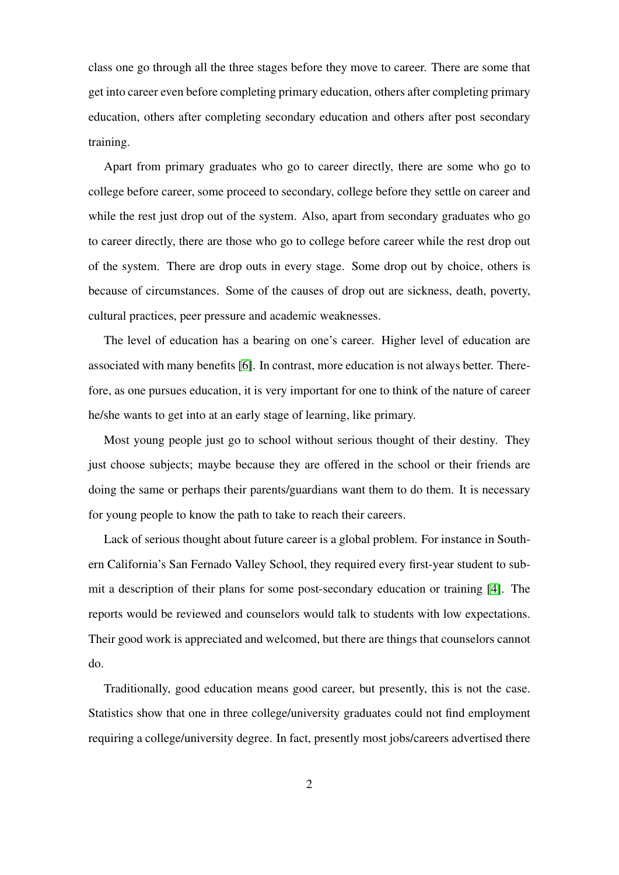class one go through all the three stages before they move to career. There are some that get into career even before completing primary education, others after completing primary education, others after completing secondary education and others after post secondary training.

Apart from primary graduates who go to career directly, there are some who go to college before career, some proceed to secondary, college before they settle on career and while the rest just drop out of the system. Also, apart from secondary graduates who go to career directly, there are those who go to college before career while the rest drop out of the system. There are drop outs in every stage. Some drop out by choice, others is because of circumstances. Some of the causes of drop out are sickness, death, poverty, cultural practices, peer pressure and academic weaknesses.

The level of education has a bearing on one's career. Higher level of education are associated with many benefits [\[6\]](#page-49-1). In contrast, more education is not always better. Therefore, as one pursues education, it is very important for one to think of the nature of career he/she wants to get into at an early stage of learning, like primary.

Most young people just go to school without serious thought of their destiny. They just choose subjects; maybe because they are offered in the school or their friends are doing the same or perhaps their parents/guardians want them to do them. It is necessary for young people to know the path to take to reach their careers.

Lack of serious thought about future career is a global problem. For instance in Southern California's San Fernado Valley School, they required every first-year student to submit a description of their plans for some post-secondary education or training [\[4\]](#page-49-2). The reports would be reviewed and counselors would talk to students with low expectations. Their good work is appreciated and welcomed, but there are things that counselors cannot do.

Traditionally, good education means good career, but presently, this is not the case. Statistics show that one in three college/university graduates could not find employment requiring a college/university degree. In fact, presently most jobs/careers advertised there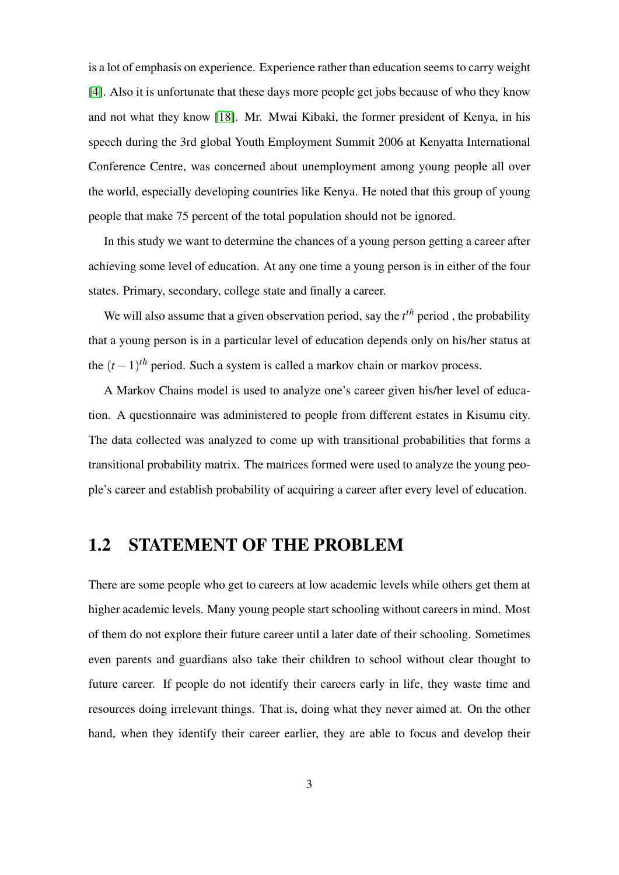is a lot of emphasis on experience. Experience rather than education seems to carry weight [\[4\]](#page-49-2). Also it is unfortunate that these days more people get jobs because of who they know and not what they know [\[18\]](#page-50-1). Mr. Mwai Kibaki, the former president of Kenya, in his speech during the 3rd global Youth Employment Summit 2006 at Kenyatta International Conference Centre, was concerned about unemployment among young people all over the world, especially developing countries like Kenya. He noted that this group of young people that make 75 percent of the total population should not be ignored.

In this study we want to determine the chances of a young person getting a career after achieving some level of education. At any one time a young person is in either of the four states. Primary, secondary, college state and finally a career.

We will also assume that a given observation period, say the  $t<sup>th</sup>$  period, the probability that a young person is in a particular level of education depends only on his/her status at the  $(t-1)$ <sup>th</sup> period. Such a system is called a markov chain or markov process.

A Markov Chains model is used to analyze one's career given his/her level of education. A questionnaire was administered to people from different estates in Kisumu city. The data collected was analyzed to come up with transitional probabilities that forms a transitional probability matrix. The matrices formed were used to analyze the young people's career and establish probability of acquiring a career after every level of education.

# <span id="page-12-0"></span>1.2 STATEMENT OF THE PROBLEM

There are some people who get to careers at low academic levels while others get them at higher academic levels. Many young people start schooling without careers in mind. Most of them do not explore their future career until a later date of their schooling. Sometimes even parents and guardians also take their children to school without clear thought to future career. If people do not identify their careers early in life, they waste time and resources doing irrelevant things. That is, doing what they never aimed at. On the other hand, when they identify their career earlier, they are able to focus and develop their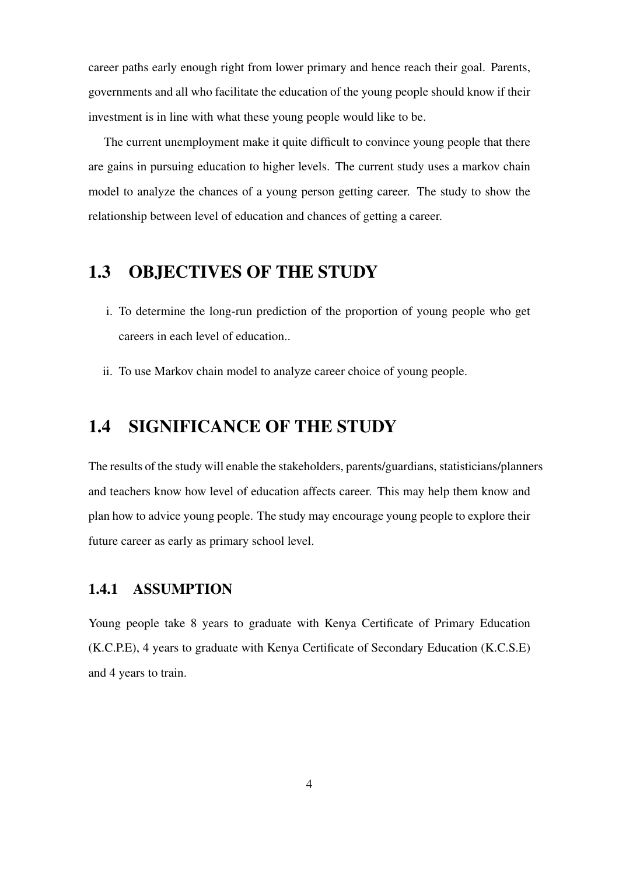career paths early enough right from lower primary and hence reach their goal. Parents, governments and all who facilitate the education of the young people should know if their investment is in line with what these young people would like to be.

The current unemployment make it quite difficult to convince young people that there are gains in pursuing education to higher levels. The current study uses a markov chain model to analyze the chances of a young person getting career. The study to show the relationship between level of education and chances of getting a career.

# <span id="page-13-0"></span>1.3 OBJECTIVES OF THE STUDY

- i. To determine the long-run prediction of the proportion of young people who get careers in each level of education..
- ii. To use Markov chain model to analyze career choice of young people.

# <span id="page-13-1"></span>1.4 SIGNIFICANCE OF THE STUDY

The results of the study will enable the stakeholders, parents/guardians, statisticians/planners and teachers know how level of education affects career. This may help them know and plan how to advice young people. The study may encourage young people to explore their future career as early as primary school level.

### <span id="page-13-2"></span>1.4.1 ASSUMPTION

Young people take 8 years to graduate with Kenya Certificate of Primary Education (K.C.P.E), 4 years to graduate with Kenya Certificate of Secondary Education (K.C.S.E) and 4 years to train.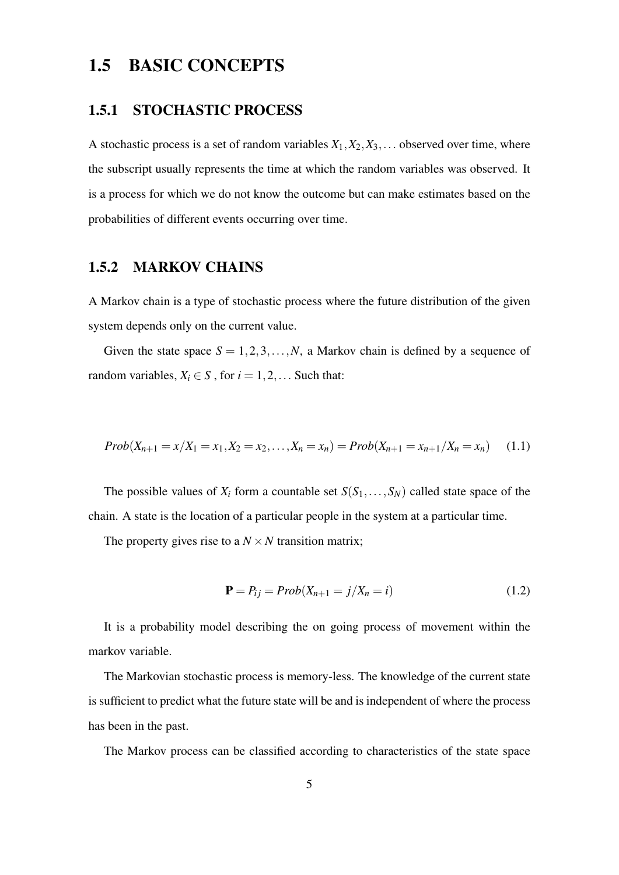### <span id="page-14-0"></span>1.5 BASIC CONCEPTS

### <span id="page-14-1"></span>1.5.1 STOCHASTIC PROCESS

A stochastic process is a set of random variables  $X_1, X_2, X_3, \ldots$  observed over time, where the subscript usually represents the time at which the random variables was observed. It is a process for which we do not know the outcome but can make estimates based on the probabilities of different events occurring over time.

### <span id="page-14-2"></span>1.5.2 MARKOV CHAINS

A Markov chain is a type of stochastic process where the future distribution of the given system depends only on the current value.

Given the state space  $S = 1, 2, 3, ..., N$ , a Markov chain is defined by a sequence of random variables,  $X_i \in S$ , for  $i = 1, 2, \ldots$  Such that:

$$
Prob(X_{n+1} = x/X_1 = x_1, X_2 = x_2, \dots, X_n = x_n) = Prob(X_{n+1} = x_{n+1}/X_n = x_n) \tag{1.1}
$$

The possible values of  $X_i$  form a countable set  $S(S_1, \ldots, S_N)$  called state space of the chain. A state is the location of a particular people in the system at a particular time.

The property gives rise to a  $N \times N$  transition matrix;

$$
\mathbf{P} = P_{ij} = Prob(X_{n+1} = j/X_n = i) \tag{1.2}
$$

It is a probability model describing the on going process of movement within the markov variable.

The Markovian stochastic process is memory-less. The knowledge of the current state is sufficient to predict what the future state will be and is independent of where the process has been in the past.

The Markov process can be classified according to characteristics of the state space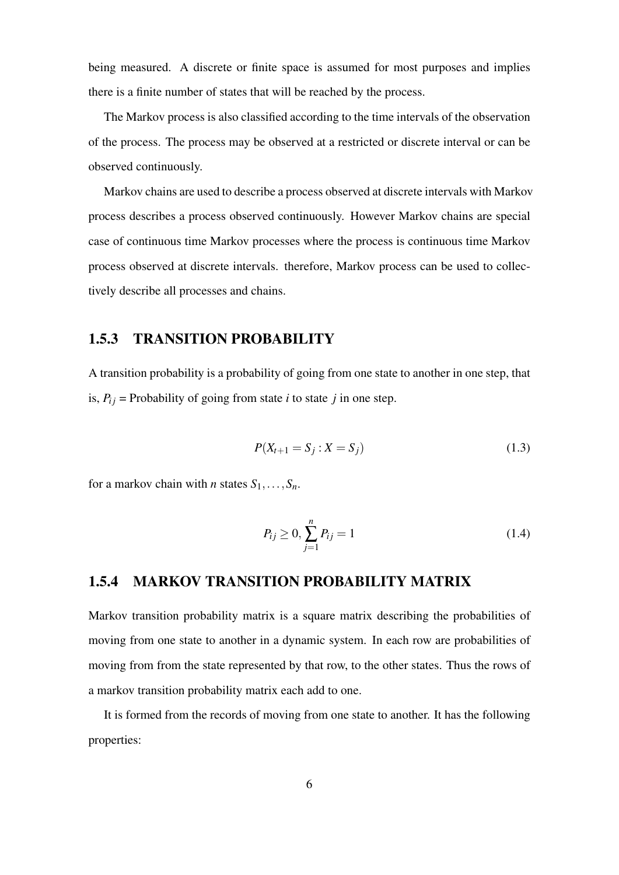being measured. A discrete or finite space is assumed for most purposes and implies there is a finite number of states that will be reached by the process.

The Markov process is also classified according to the time intervals of the observation of the process. The process may be observed at a restricted or discrete interval or can be observed continuously.

Markov chains are used to describe a process observed at discrete intervals with Markov process describes a process observed continuously. However Markov chains are special case of continuous time Markov processes where the process is continuous time Markov process observed at discrete intervals. therefore, Markov process can be used to collectively describe all processes and chains.

### <span id="page-15-0"></span>1.5.3 TRANSITION PROBABILITY

A transition probability is a probability of going from one state to another in one step, that is,  $P_{ij}$  = Probability of going from state *i* to state *j* in one step.

$$
P(X_{t+1} = S_j : X = S_j)
$$
\n(1.3)

for a markov chain with *n* states  $S_1, \ldots, S_n$ .

$$
P_{ij} \ge 0, \sum_{j=1}^{n} P_{ij} = 1
$$
\n(1.4)

### <span id="page-15-1"></span>1.5.4 MARKOV TRANSITION PROBABILITY MATRIX

Markov transition probability matrix is a square matrix describing the probabilities of moving from one state to another in a dynamic system. In each row are probabilities of moving from from the state represented by that row, to the other states. Thus the rows of a markov transition probability matrix each add to one.

It is formed from the records of moving from one state to another. It has the following properties: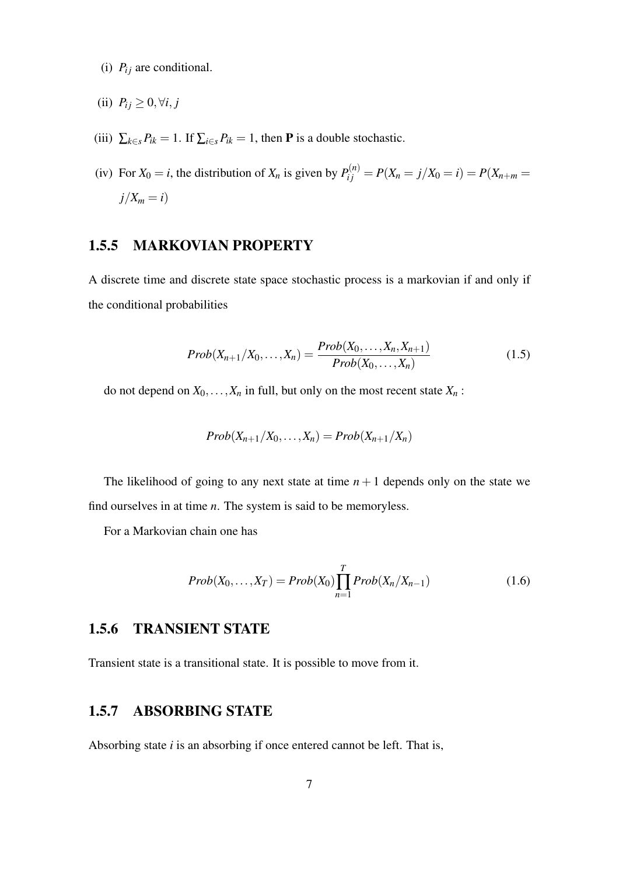- (i)  $P_{ij}$  are conditional.
- (ii)  $P_{ij} \geq 0, \forall i, j$
- (iii)  $\sum_{k \in S} P_{ik} = 1$ . If  $\sum_{i \in S} P_{ik} = 1$ , then **P** is a double stochastic.
- (iv) For  $X_0 = i$ , the distribution of  $X_n$  is given by  $P_{ij}^{(n)} = P(X_n = j/X_0 = i) = P(X_{n+m} = i)$  $j/X_m = i$

### <span id="page-16-0"></span>1.5.5 MARKOVIAN PROPERTY

A discrete time and discrete state space stochastic process is a markovian if and only if the conditional probabilities

$$
Prob(X_{n+1}/X_0,...,X_n) = \frac{Prob(X_0,...,X_n,X_{n+1})}{Prob(X_0,...,X_n)}
$$
(1.5)

do not depend on  $X_0, \ldots, X_n$  in full, but only on the most recent state  $X_n$ :

$$
Prob(X_{n+1}/X_0,\ldots,X_n)=Prob(X_{n+1}/X_n)
$$

The likelihood of going to any next state at time  $n + 1$  depends only on the state we find ourselves in at time *n*. The system is said to be memoryless.

For a Markovian chain one has

$$
Prob(X_0, ..., X_T) = Prob(X_0) \prod_{n=1}^{T} Prob(X_n/X_{n-1})
$$
\n(1.6)

#### <span id="page-16-1"></span>1.5.6 TRANSIENT STATE

Transient state is a transitional state. It is possible to move from it.

### <span id="page-16-2"></span>1.5.7 ABSORBING STATE

Absorbing state *i* is an absorbing if once entered cannot be left. That is,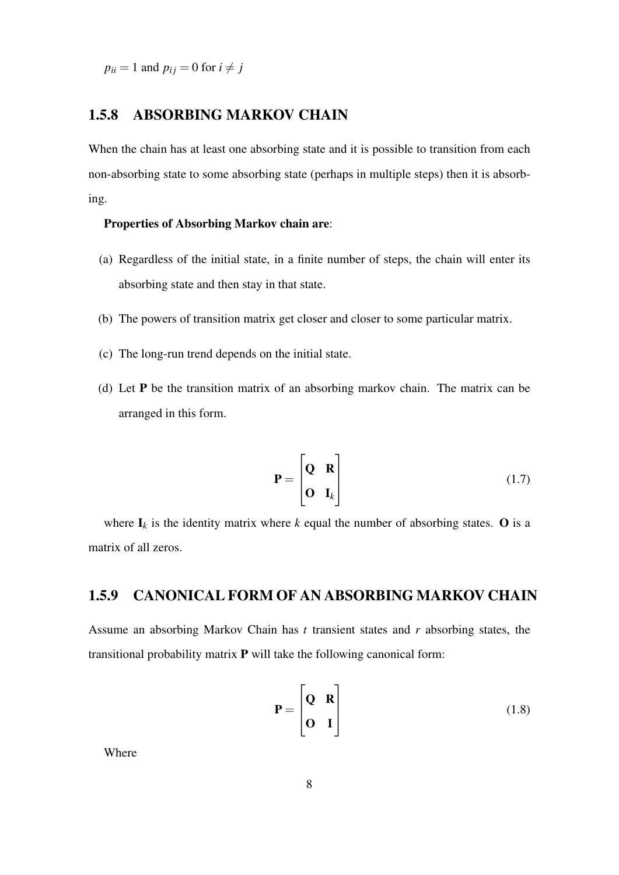$p_{ii} = 1$  and  $p_{ij} = 0$  for  $i \neq j$ 

### <span id="page-17-0"></span>1.5.8 ABSORBING MARKOV CHAIN

When the chain has at least one absorbing state and it is possible to transition from each non-absorbing state to some absorbing state (perhaps in multiple steps) then it is absorbing.

#### Properties of Absorbing Markov chain are:

- (a) Regardless of the initial state, in a finite number of steps, the chain will enter its absorbing state and then stay in that state.
- (b) The powers of transition matrix get closer and closer to some particular matrix.
- (c) The long-run trend depends on the initial state.
- (d) Let P be the transition matrix of an absorbing markov chain. The matrix can be arranged in this form.

$$
\mathbf{P} = \begin{bmatrix} \mathbf{Q} & \mathbf{R} \\ \mathbf{O} & \mathbf{I}_k \end{bmatrix} \tag{1.7}
$$

where  $I_k$  is the identity matrix where *k* equal the number of absorbing states. **O** is a matrix of all zeros.

#### <span id="page-17-1"></span>1.5.9 CANONICAL FORM OF AN ABSORBING MARKOV CHAIN

Assume an absorbing Markov Chain has *t* transient states and *r* absorbing states, the transitional probability matrix P will take the following canonical form:

$$
\mathbf{P} = \begin{bmatrix} \mathbf{Q} & \mathbf{R} \\ \mathbf{O} & \mathbf{I} \end{bmatrix} \tag{1.8}
$$

Where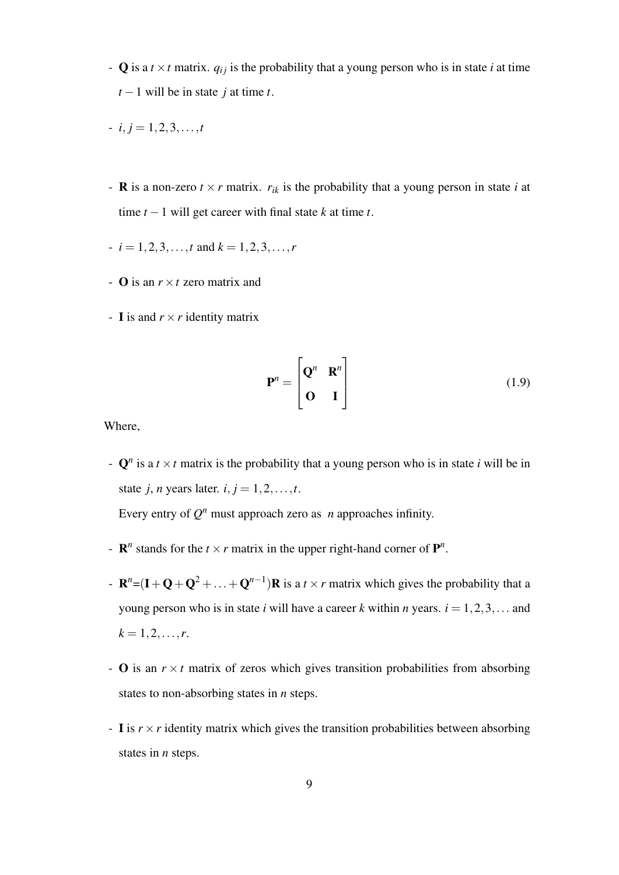- Q is a  $t \times t$  matrix.  $q_{ij}$  is the probability that a young person who is in state *i* at time  $t-1$  will be in state *j* at time *t*.

$$
-i, j=1,2,3,\ldots,t
$$

- **R** is a non-zero  $t \times r$  matrix.  $r_{ik}$  is the probability that a young person in state *i* at time  $t - 1$  will get career with final state  $k$  at time  $t$ .
- $i = 1, 2, 3, \ldots, t$  and  $k = 1, 2, 3, \ldots, r$
- O is an *r* ×*t* zero matrix and
- **I** is and  $r \times r$  identity matrix

$$
\mathbf{P}^n = \begin{bmatrix} \mathbf{Q}^n & \mathbf{R}^n \\ \mathbf{O} & \mathbf{I} \end{bmatrix} \tag{1.9}
$$

Where,

 $\sim \mathbf{Q}^n$  is a *t*  $\times$  *t* matrix is the probability that a young person who is in state *i* will be in state *j*, *n* years later.  $i, j = 1, 2, \ldots, t$ .

Every entry of  $Q<sup>n</sup>$  must approach zero as *n* approaches infinity.

- **-**  $\mathbb{R}^n$  stands for the  $t \times r$  matrix in the upper right-hand corner of  $\mathbb{P}^n$ .
- **-**  $\mathbf{R}^{n}$  =  $(\mathbf{I} + \mathbf{Q} + \mathbf{Q}^{2} + ... + \mathbf{Q}^{n-1})\mathbf{R}$  is a *t* × *r* matrix which gives the probability that a young person who is in state *i* will have a career *k* within *n* years.  $i = 1, 2, 3, \ldots$  and  $k = 1, 2, \ldots, r$ .
- $\sim$  **O** is an  $r \times t$  matrix of zeros which gives transition probabilities from absorbing states to non-absorbing states in *n* steps.
- I is  $r \times r$  identity matrix which gives the transition probabilities between absorbing states in *n* steps.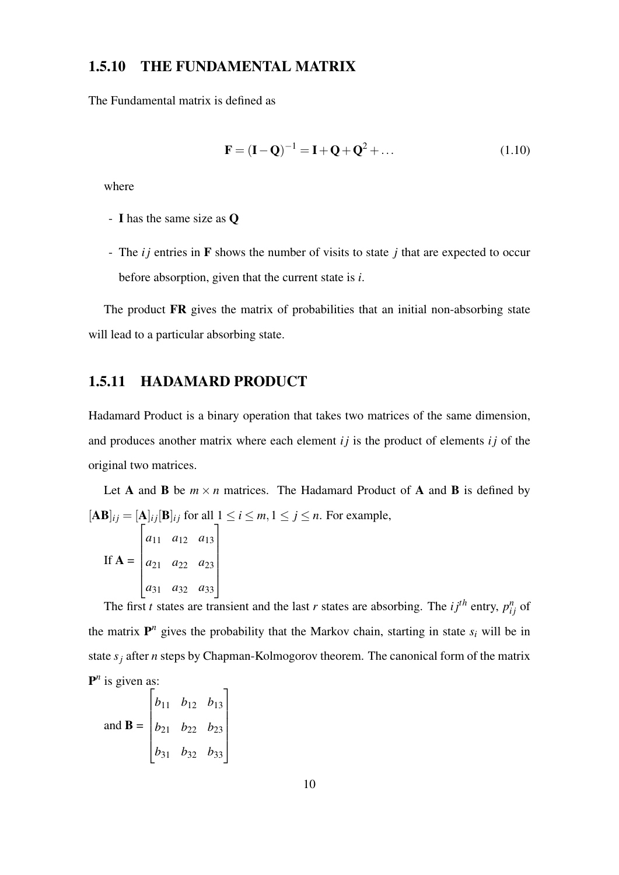### <span id="page-19-0"></span>1.5.10 THE FUNDAMENTAL MATRIX

The Fundamental matrix is defined as

$$
\mathbf{F} = (\mathbf{I} - \mathbf{Q})^{-1} = \mathbf{I} + \mathbf{Q} + \mathbf{Q}^2 + \dots
$$
 (1.10)

where

- I has the same size as Q
- The *ij* entries in **F** shows the number of visits to state *j* that are expected to occur before absorption, given that the current state is *i*.

The product FR gives the matrix of probabilities that an initial non-absorbing state will lead to a particular absorbing state.

### <span id="page-19-1"></span>1.5.11 HADAMARD PRODUCT

Hadamard Product is a binary operation that takes two matrices of the same dimension, and produces another matrix where each element  $i j$  is the product of elements  $i j$  of the original two matrices.

Let A and B be  $m \times n$  matrices. The Hadamard Product of A and B is defined by  $[\mathbf{AB}]_{ij} = [\mathbf{A}]_{ij}[\mathbf{B}]_{ij}$  for all  $1 \le i \le m, 1 \le j \le n$ . For example, If  $A =$  $\sqrt{ }$  *a*<sup>11</sup> *a*<sup>12</sup> *a*<sup>13</sup> *a*<sup>21</sup> *a*<sup>22</sup> *a*<sup>23</sup> *a*<sup>31</sup> *a*<sup>32</sup> *a*<sup>33</sup> 1  $\begin{array}{c} \begin{array}{c} \begin{array}{c} \begin{array}{c} \end{array} \end{array} \\ \begin{array}{c} \end{array} \end{array} \end{array}$ 

The first *t* states are transient and the last *r* states are absorbing. The  $i j<sup>th</sup>$  entry,  $p_{ij}^n$  of the matrix  $P^n$  gives the probability that the Markov chain, starting in state  $s_i$  will be in state *s<sup>j</sup>* after *n* steps by Chapman-Kolmogorov theorem. The canonical form of the matrix  $\mathbf{P}^n$  is given as:

and 
$$
\mathbf{B} = \begin{bmatrix} b_{11} & b_{12} & b_{13} \\ b_{21} & b_{22} & b_{23} \\ b_{31} & b_{32} & b_{33} \end{bmatrix}
$$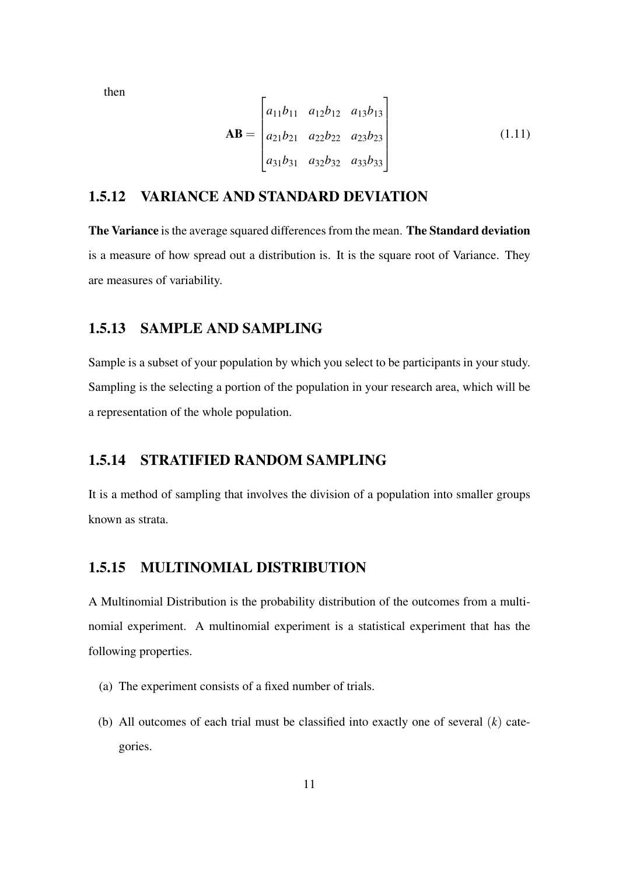then

$$
\mathbf{AB} = \begin{bmatrix} a_{11}b_{11} & a_{12}b_{12} & a_{13}b_{13} \\ a_{21}b_{21} & a_{22}b_{22} & a_{23}b_{23} \\ a_{31}b_{31} & a_{32}b_{32} & a_{33}b_{33} \end{bmatrix}
$$
(1.11)

### <span id="page-20-0"></span>1.5.12 VARIANCE AND STANDARD DEVIATION

The Variance is the average squared differences from the mean. The Standard deviation is a measure of how spread out a distribution is. It is the square root of Variance. They are measures of variability.

### <span id="page-20-1"></span>1.5.13 SAMPLE AND SAMPLING

Sample is a subset of your population by which you select to be participants in your study. Sampling is the selecting a portion of the population in your research area, which will be a representation of the whole population.

### <span id="page-20-2"></span>1.5.14 STRATIFIED RANDOM SAMPLING

It is a method of sampling that involves the division of a population into smaller groups known as strata.

### <span id="page-20-3"></span>1.5.15 MULTINOMIAL DISTRIBUTION

A Multinomial Distribution is the probability distribution of the outcomes from a multinomial experiment. A multinomial experiment is a statistical experiment that has the following properties.

- (a) The experiment consists of a fixed number of trials.
- (b) All outcomes of each trial must be classified into exactly one of several (*k*) categories.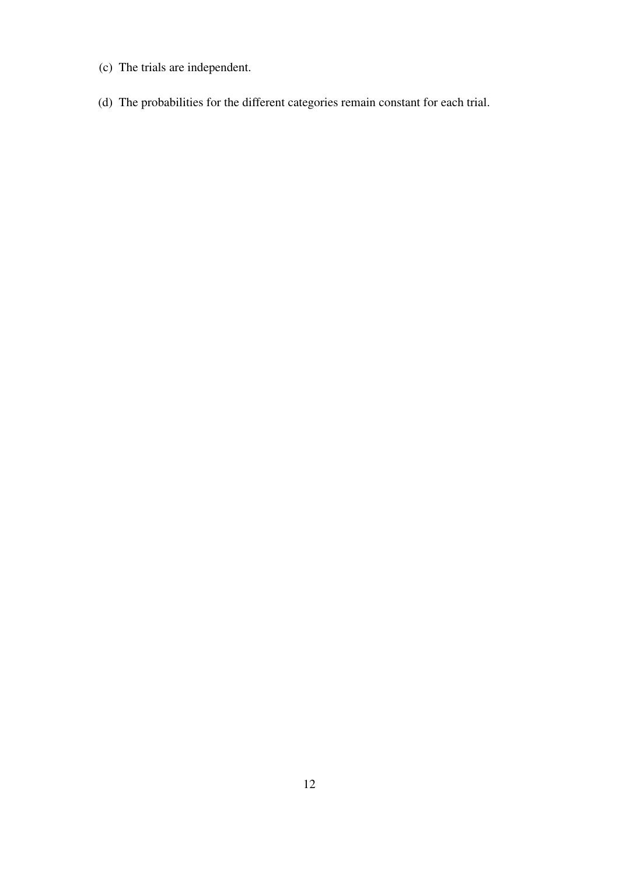- (c) The trials are independent.
- (d) The probabilities for the different categories remain constant for each trial.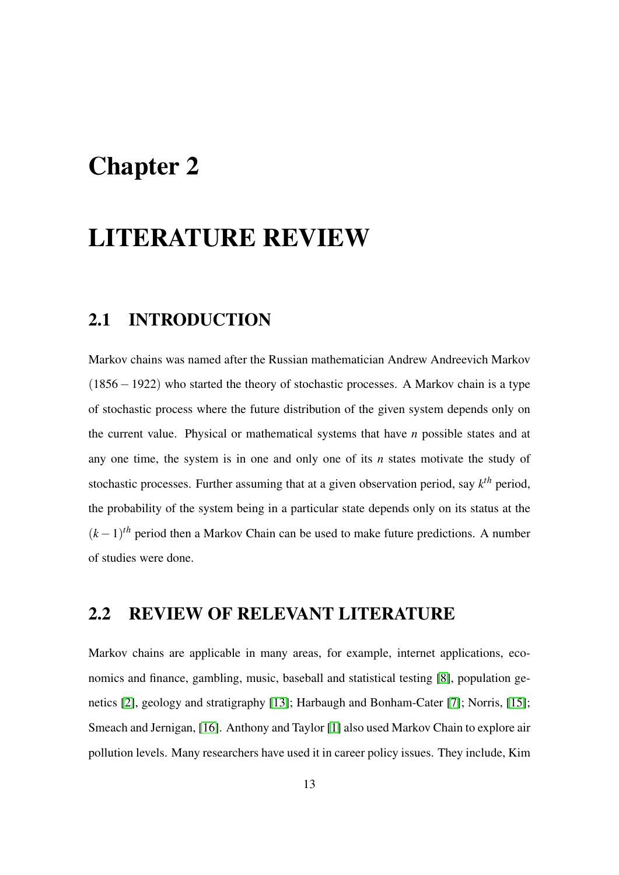# <span id="page-22-0"></span>Chapter 2

# LITERATURE REVIEW

### <span id="page-22-1"></span>2.1 INTRODUCTION

Markov chains was named after the Russian mathematician Andrew Andreevich Markov (1856−1922) who started the theory of stochastic processes. A Markov chain is a type of stochastic process where the future distribution of the given system depends only on the current value. Physical or mathematical systems that have *n* possible states and at any one time, the system is in one and only one of its *n* states motivate the study of stochastic processes. Further assuming that at a given observation period, say *k th* period, the probability of the system being in a particular state depends only on its status at the  $(k-1)$ <sup>th</sup> period then a Markov Chain can be used to make future predictions. A number of studies were done.

# <span id="page-22-2"></span>2.2 REVIEW OF RELEVANT LITERATURE

Markov chains are applicable in many areas, for example, internet applications, economics and finance, gambling, music, baseball and statistical testing [\[8\]](#page-49-3), population genetics [\[2\]](#page-49-4), geology and stratigraphy [\[13\]](#page-50-2); Harbaugh and Bonham-Cater [\[7\]](#page-49-5); Norris, [\[15\]](#page-50-3); Smeach and Jernigan, [\[16\]](#page-50-4). Anthony and Taylor [\[1\]](#page-49-6) also used Markov Chain to explore air pollution levels. Many researchers have used it in career policy issues. They include, Kim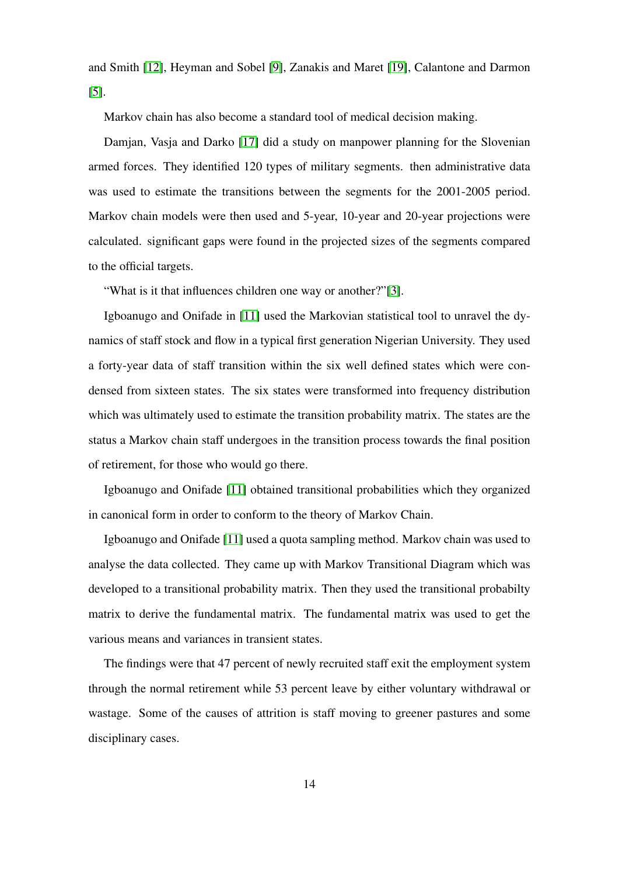and Smith [\[12\]](#page-50-5), Heyman and Sobel [\[9\]](#page-50-6), Zanakis and Maret [\[19\]](#page-50-7), Calantone and Darmon [\[5\]](#page-49-7).

Markov chain has also become a standard tool of medical decision making.

Damjan, Vasja and Darko [\[17\]](#page-50-8) did a study on manpower planning for the Slovenian armed forces. They identified 120 types of military segments. then administrative data was used to estimate the transitions between the segments for the 2001-2005 period. Markov chain models were then used and 5-year, 10-year and 20-year projections were calculated. significant gaps were found in the projected sizes of the segments compared to the official targets.

"What is it that influences children one way or another?"[\[3\]](#page-49-8).

Igboanugo and Onifade in [\[11\]](#page-50-9) used the Markovian statistical tool to unravel the dynamics of staff stock and flow in a typical first generation Nigerian University. They used a forty-year data of staff transition within the six well defined states which were condensed from sixteen states. The six states were transformed into frequency distribution which was ultimately used to estimate the transition probability matrix. The states are the status a Markov chain staff undergoes in the transition process towards the final position of retirement, for those who would go there.

Igboanugo and Onifade [\[11\]](#page-50-9) obtained transitional probabilities which they organized in canonical form in order to conform to the theory of Markov Chain.

Igboanugo and Onifade [\[11\]](#page-50-9) used a quota sampling method. Markov chain was used to analyse the data collected. They came up with Markov Transitional Diagram which was developed to a transitional probability matrix. Then they used the transitional probabilty matrix to derive the fundamental matrix. The fundamental matrix was used to get the various means and variances in transient states.

The findings were that 47 percent of newly recruited staff exit the employment system through the normal retirement while 53 percent leave by either voluntary withdrawal or wastage. Some of the causes of attrition is staff moving to greener pastures and some disciplinary cases.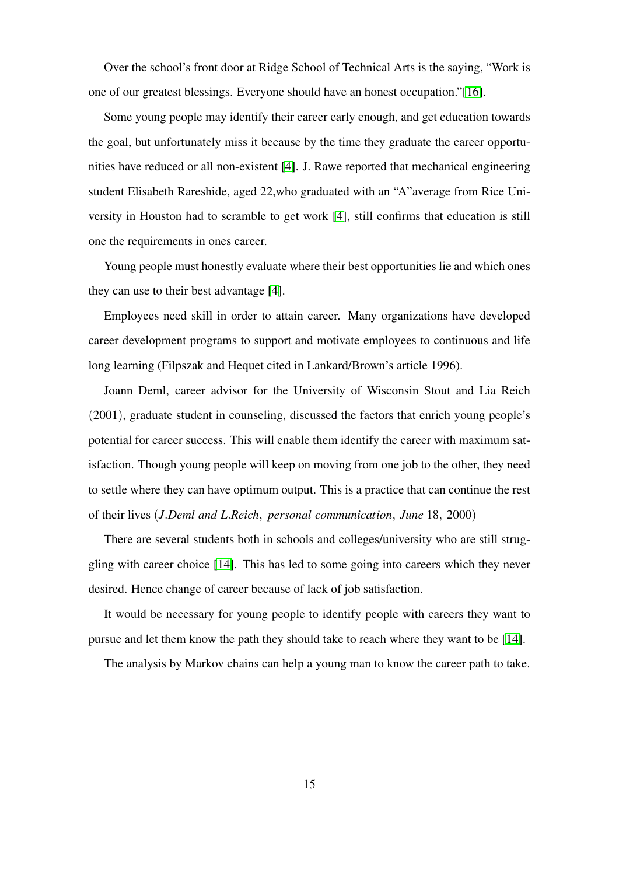Over the school's front door at Ridge School of Technical Arts is the saying, "Work is one of our greatest blessings. Everyone should have an honest occupation."[\[16\]](#page-50-4).

Some young people may identify their career early enough, and get education towards the goal, but unfortunately miss it because by the time they graduate the career opportunities have reduced or all non-existent [\[4\]](#page-49-2). J. Rawe reported that mechanical engineering student Elisabeth Rareshide, aged 22,who graduated with an "A"average from Rice University in Houston had to scramble to get work [\[4\]](#page-49-2), still confirms that education is still one the requirements in ones career.

Young people must honestly evaluate where their best opportunities lie and which ones they can use to their best advantage [\[4\]](#page-49-2).

Employees need skill in order to attain career. Many organizations have developed career development programs to support and motivate employees to continuous and life long learning (Filpszak and Hequet cited in Lankard/Brown's article 1996).

Joann Deml, career advisor for the University of Wisconsin Stout and Lia Reich (2001), graduate student in counseling, discussed the factors that enrich young people's potential for career success. This will enable them identify the career with maximum satisfaction. Though young people will keep on moving from one job to the other, they need to settle where they can have optimum output. This is a practice that can continue the rest of their lives (*J*.*Deml and L*.*Reich*, *personal communication*, *June* 18, 2000)

There are several students both in schools and colleges/university who are still struggling with career choice [\[14\]](#page-50-10). This has led to some going into careers which they never desired. Hence change of career because of lack of job satisfaction.

It would be necessary for young people to identify people with careers they want to pursue and let them know the path they should take to reach where they want to be [\[14\]](#page-50-10).

The analysis by Markov chains can help a young man to know the career path to take.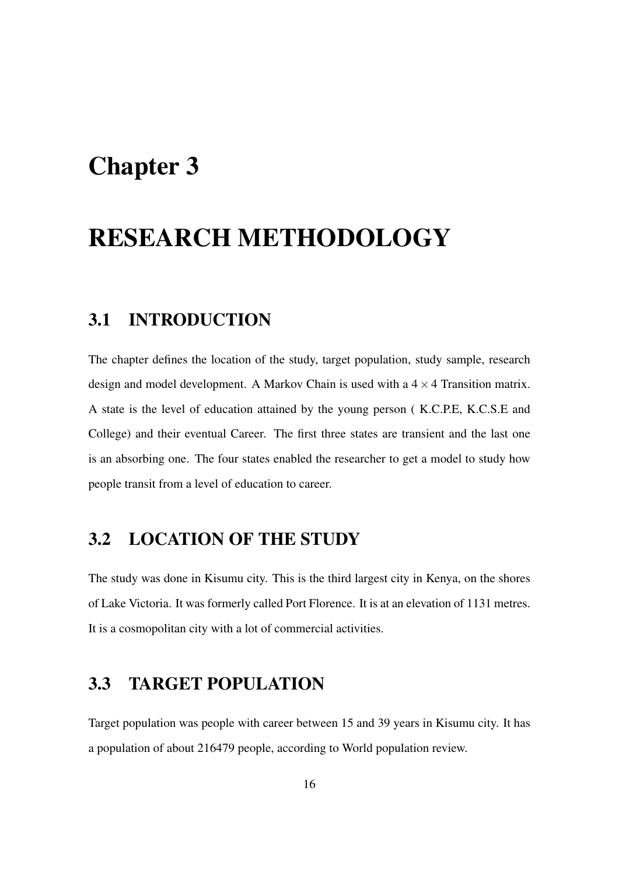# <span id="page-25-0"></span>Chapter 3

# RESEARCH METHODOLOGY

### <span id="page-25-1"></span>3.1 INTRODUCTION

The chapter defines the location of the study, target population, study sample, research design and model development. A Markov Chain is used with a  $4 \times 4$  Transition matrix. A state is the level of education attained by the young person ( K.C.P.E, K.C.S.E and College) and their eventual Career. The first three states are transient and the last one is an absorbing one. The four states enabled the researcher to get a model to study how people transit from a level of education to career.

# <span id="page-25-2"></span>3.2 LOCATION OF THE STUDY

The study was done in Kisumu city. This is the third largest city in Kenya, on the shores of Lake Victoria. It was formerly called Port Florence. It is at an elevation of 1131 metres. It is a cosmopolitan city with a lot of commercial activities.

# <span id="page-25-3"></span>3.3 TARGET POPULATION

Target population was people with career between 15 and 39 years in Kisumu city. It has a population of about 216479 people, according to World population review.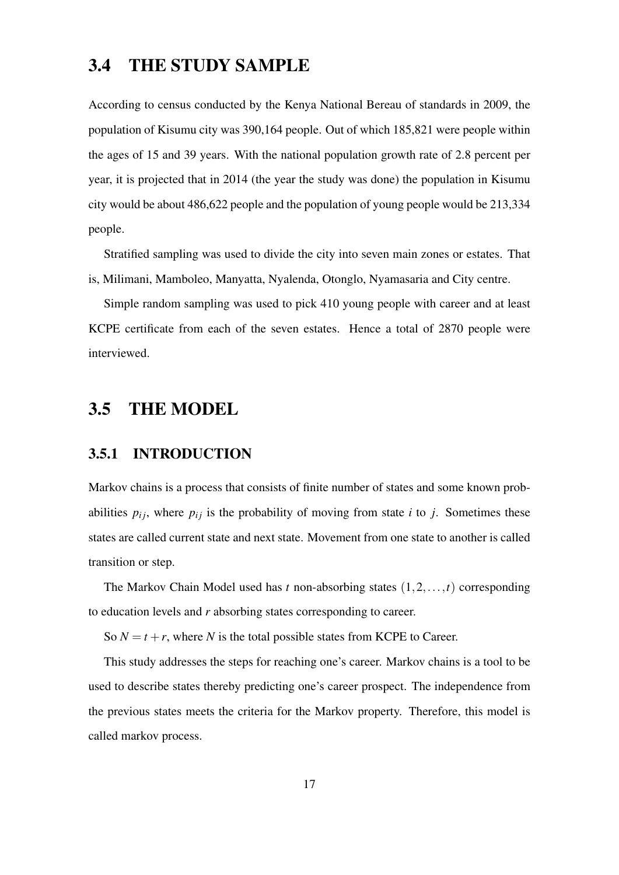### <span id="page-26-0"></span>3.4 THE STUDY SAMPLE

According to census conducted by the Kenya National Bereau of standards in 2009, the population of Kisumu city was 390,164 people. Out of which 185,821 were people within the ages of 15 and 39 years. With the national population growth rate of 2.8 percent per year, it is projected that in 2014 (the year the study was done) the population in Kisumu city would be about 486,622 people and the population of young people would be 213,334 people.

Stratified sampling was used to divide the city into seven main zones or estates. That is, Milimani, Mamboleo, Manyatta, Nyalenda, Otonglo, Nyamasaria and City centre.

Simple random sampling was used to pick 410 young people with career and at least KCPE certificate from each of the seven estates. Hence a total of 2870 people were interviewed.

### <span id="page-26-1"></span>3.5 THE MODEL

### <span id="page-26-2"></span>3.5.1 INTRODUCTION

Markov chains is a process that consists of finite number of states and some known probabilities  $p_{ij}$ , where  $p_{ij}$  is the probability of moving from state *i* to *j*. Sometimes these states are called current state and next state. Movement from one state to another is called transition or step.

The Markov Chain Model used has *t* non-absorbing states (1,2,...,*t*) corresponding to education levels and *r* absorbing states corresponding to career.

So  $N = t + r$ , where *N* is the total possible states from KCPE to Career.

This study addresses the steps for reaching one's career. Markov chains is a tool to be used to describe states thereby predicting one's career prospect. The independence from the previous states meets the criteria for the Markov property. Therefore, this model is called markov process.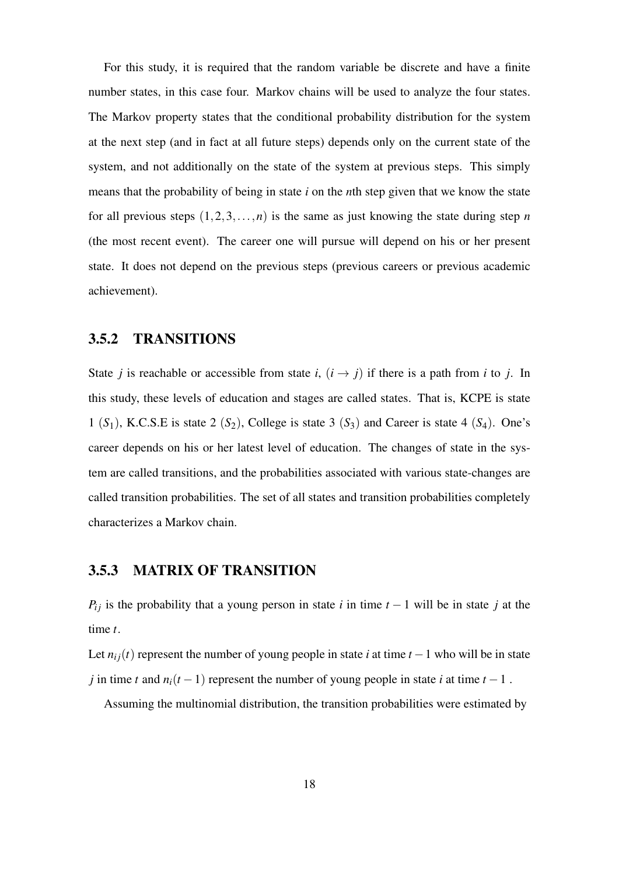For this study, it is required that the random variable be discrete and have a finite number states, in this case four. Markov chains will be used to analyze the four states. The Markov property states that the conditional probability distribution for the system at the next step (and in fact at all future steps) depends only on the current state of the system, and not additionally on the state of the system at previous steps. This simply means that the probability of being in state *i* on the *n*th step given that we know the state for all previous steps  $(1,2,3,...,n)$  is the same as just knowing the state during step *n* (the most recent event). The career one will pursue will depend on his or her present state. It does not depend on the previous steps (previous careers or previous academic achievement).

### <span id="page-27-0"></span>3.5.2 TRANSITIONS

State *j* is reachable or accessible from state *i*,  $(i \rightarrow j)$  if there is a path from *i* to *j*. In this study, these levels of education and stages are called states. That is, KCPE is state 1  $(S_1)$ , K.C.S.E is state 2  $(S_2)$ , College is state 3  $(S_3)$  and Career is state 4  $(S_4)$ . One's career depends on his or her latest level of education. The changes of state in the system are called transitions, and the probabilities associated with various state-changes are called transition probabilities. The set of all states and transition probabilities completely characterizes a Markov chain.

### <span id="page-27-1"></span>3.5.3 MATRIX OF TRANSITION

 $P_{ij}$  is the probability that a young person in state *i* in time  $t - 1$  will be in state *j* at the time *t*.

Let  $n_{ij}(t)$  represent the number of young people in state *i* at time  $t - 1$  who will be in state *j* in time *t* and  $n_i(t-1)$  represent the number of young people in state *i* at time  $t-1$ .

Assuming the multinomial distribution, the transition probabilities were estimated by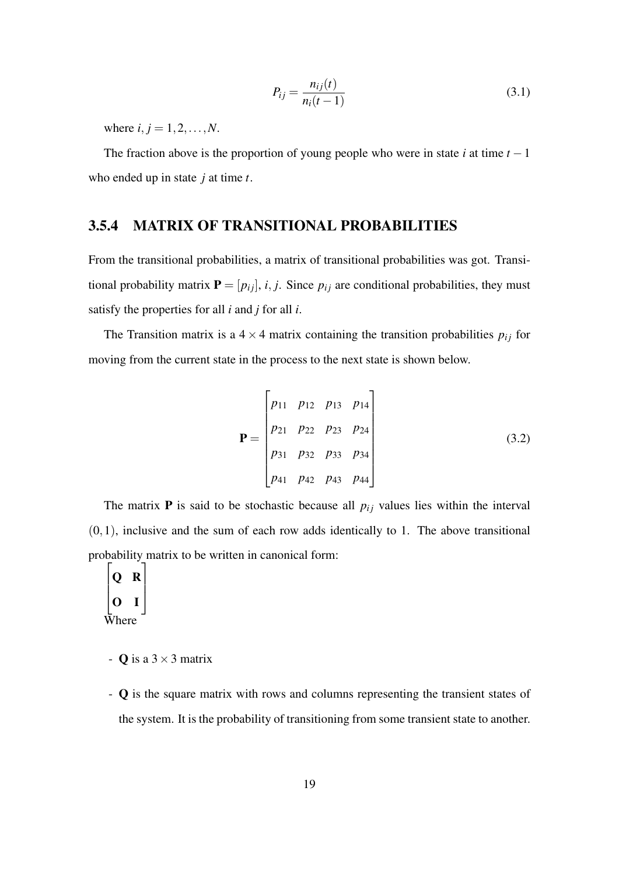$$
P_{ij} = \frac{n_{ij}(t)}{n_i(t-1)}\tag{3.1}
$$

where  $i, j = 1, 2, ..., N$ .

The fraction above is the proportion of young people who were in state  $i$  at time  $t - 1$ who ended up in state *j* at time *t*.

### <span id="page-28-0"></span>3.5.4 MATRIX OF TRANSITIONAL PROBABILITIES

From the transitional probabilities, a matrix of transitional probabilities was got. Transitional probability matrix  $P = [p_{ij}], i, j$ . Since  $p_{ij}$  are conditional probabilities, they must satisfy the properties for all *i* and *j* for all *i*.

The Transition matrix is a  $4 \times 4$  matrix containing the transition probabilities  $p_{ij}$  for moving from the current state in the process to the next state is shown below.

$$
\mathbf{P} = \begin{bmatrix} p_{11} & p_{12} & p_{13} & p_{14} \\ p_{21} & p_{22} & p_{23} & p_{24} \\ p_{31} & p_{32} & p_{33} & p_{34} \\ p_{41} & p_{42} & p_{43} & p_{44} \end{bmatrix}
$$
(3.2)

The matrix **P** is said to be stochastic because all  $p_{ij}$  values lies within the interval  $(0,1)$ , inclusive and the sum of each row adds identically to 1. The above transitional probability matrix to be written in canonical form:

#### $\sqrt{ }$  $\overline{1}$  $|0 I|$ Q R 1  $\mathbf{I}$ Where

- **Q** is a  $3 \times 3$  matrix
- Q is the square matrix with rows and columns representing the transient states of the system. It is the probability of transitioning from some transient state to another.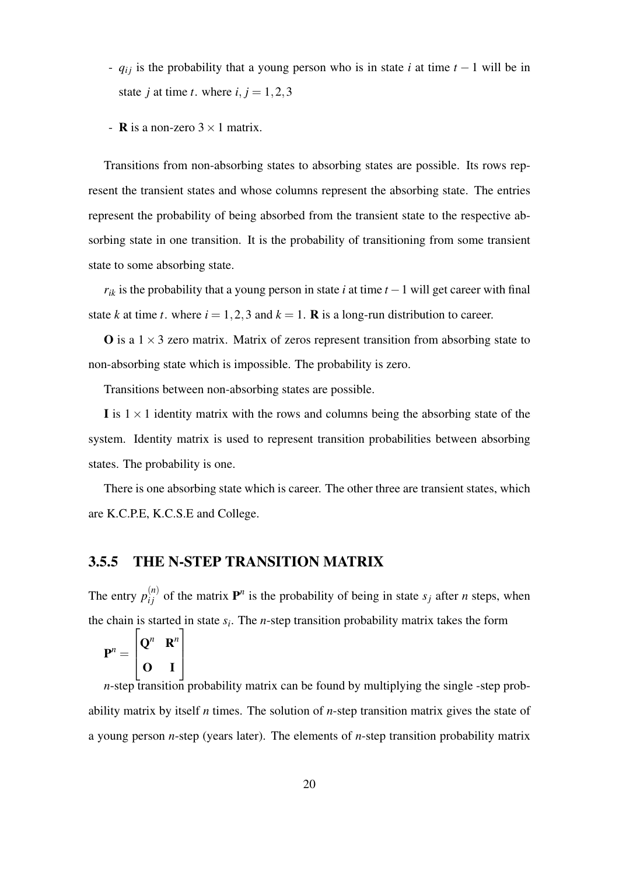- *qi j* is the probability that a young person who is in state *i* at time *t* − 1 will be in state *j* at time *t*. where  $i, j = 1, 2, 3$
- **R** is a non-zero  $3 \times 1$  matrix.

Transitions from non-absorbing states to absorbing states are possible. Its rows represent the transient states and whose columns represent the absorbing state. The entries represent the probability of being absorbed from the transient state to the respective absorbing state in one transition. It is the probability of transitioning from some transient state to some absorbing state.

 $r_{ik}$  is the probability that a young person in state *i* at time  $t - 1$  will get career with final state *k* at time *t*. where  $i = 1, 2, 3$  and  $k = 1$ . **R** is a long-run distribution to career.

**O** is a  $1 \times 3$  zero matrix. Matrix of zeros represent transition from absorbing state to non-absorbing state which is impossible. The probability is zero.

Transitions between non-absorbing states are possible.

I is  $1 \times 1$  identity matrix with the rows and columns being the absorbing state of the system. Identity matrix is used to represent transition probabilities between absorbing states. The probability is one.

There is one absorbing state which is career. The other three are transient states, which are K.C.P.E, K.C.S.E and College.

#### <span id="page-29-0"></span>3.5.5 THE N-STEP TRANSITION MATRIX

The entry  $p_{ij}^{(n)}$  of the matrix  $\mathbf{P}^n$  is the probability of being in state  $s_j$  after *n* steps, when the chain is started in state *s<sup>i</sup>* . The *n*-step transition probability matrix takes the form

$$
\mathbf{P}^n = \begin{bmatrix} \mathbf{Q}^n & \mathbf{R}^n \\ \mathbf{O} & \mathbf{I} \end{bmatrix}
$$

*n*-step transition probability matrix can be found by multiplying the single -step probability matrix by itself *n* times. The solution of *n*-step transition matrix gives the state of a young person *n*-step (years later). The elements of *n*-step transition probability matrix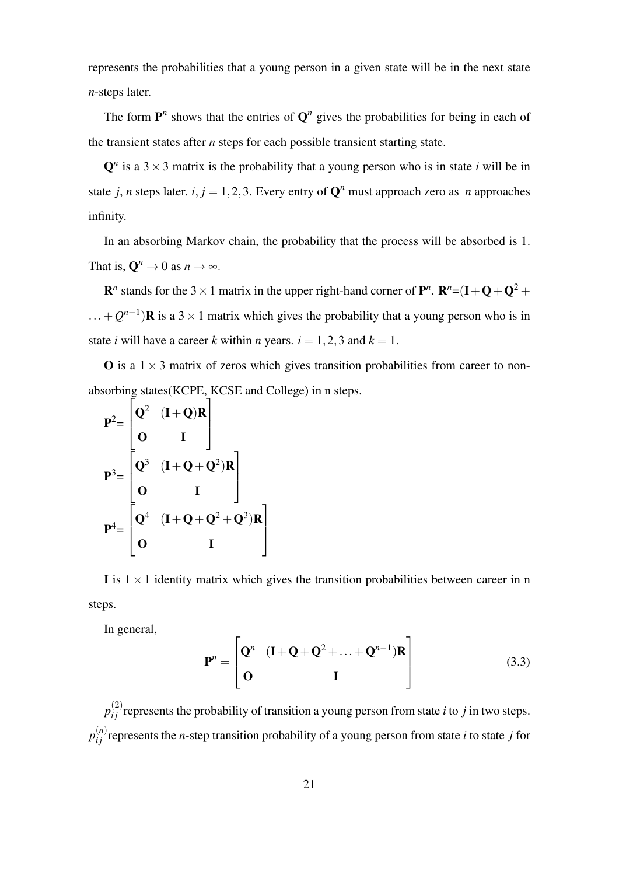represents the probabilities that a young person in a given state will be in the next state *n*-steps later.

The form  $\mathbf{P}^n$  shows that the entries of  $\mathbf{Q}^n$  gives the probabilities for being in each of the transient states after *n* steps for each possible transient starting state.

 $Q<sup>n</sup>$  is a 3  $\times$  3 matrix is the probability that a young person who is in state *i* will be in state *j*, *n* steps later. *i*, *j* = 1, 2, 3. Every entry of  $\mathbf{Q}^n$  must approach zero as *n* approaches infinity.

In an absorbing Markov chain, the probability that the process will be absorbed is 1. That is,  $\mathbf{Q}^n \to 0$  as  $n \to \infty$ .

 ${\bf R}^n$  stands for the 3  $\times$  1 matrix in the upper right-hand corner of  ${\bf P}^n$ .  ${\bf R}^n = (I + {\bf Q} + {\bf Q}^2 +$  $\dots+Q^{n-1}$ )**R** is a 3 × 1 matrix which gives the probability that a young person who is in state *i* will have a career *k* within *n* years.  $i = 1, 2, 3$  and  $k = 1$ .

 $\bf{O}$  is a  $1 \times 3$  matrix of zeros which gives transition probabilities from career to nonabsorbing states(KCPE, KCSE and College) in n steps.

$$
P^{2} = \begin{bmatrix} Q^{2} & (I + Q)R \\ 0 & I \end{bmatrix}
$$

$$
P^{3} = \begin{bmatrix} Q^{3} & (I + Q + Q^{2})R \\ 0 & I \end{bmatrix}
$$

$$
P^{4} = \begin{bmatrix} Q^{4} & (I + Q + Q^{2} + Q^{3})R \\ 0 & I \end{bmatrix}
$$

I is  $1 \times 1$  identity matrix which gives the transition probabilities between career in n steps.

In general,

$$
\mathbf{P}^{n} = \begin{bmatrix} \mathbf{Q}^{n} & (\mathbf{I} + \mathbf{Q} + \mathbf{Q}^{2} + \dots + \mathbf{Q}^{n-1})\mathbf{R} \\ \mathbf{O} & \mathbf{I} \end{bmatrix}
$$
(3.3)

 $p_{ij}^{(2)}$  represents the probability of transition a young person from state *i* to *j* in two steps.  $p_{ij}^{(n)}$ represents the *n*-step transition probability of a young person from state *i* to state *j* for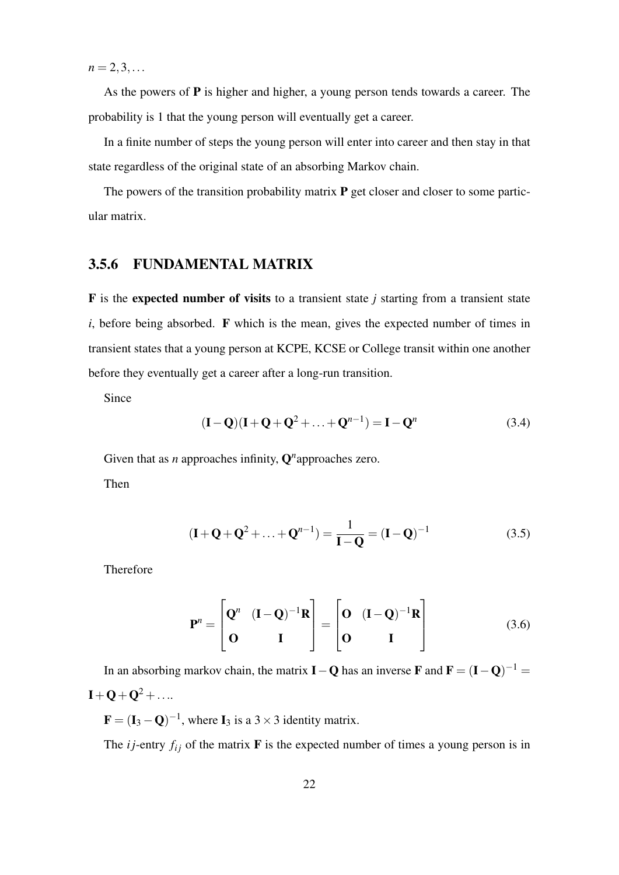$n = 2, 3, \ldots$ 

As the powers of P is higher and higher, a young person tends towards a career. The probability is 1 that the young person will eventually get a career.

In a finite number of steps the young person will enter into career and then stay in that state regardless of the original state of an absorbing Markov chain.

The powers of the transition probability matrix  $P$  get closer and closer to some particular matrix.

### <span id="page-31-0"></span>3.5.6 FUNDAMENTAL MATRIX

F is the expected number of visits to a transient state *j* starting from a transient state *i*, before being absorbed. F which is the mean, gives the expected number of times in transient states that a young person at KCPE, KCSE or College transit within one another before they eventually get a career after a long-run transition.

Since

$$
(\mathbf{I} - \mathbf{Q})(\mathbf{I} + \mathbf{Q} + \mathbf{Q}^2 + \dots + \mathbf{Q}^{n-1}) = \mathbf{I} - \mathbf{Q}^n
$$
 (3.4)

Given that as *n* approaches infinity,  $Q^n$  approaches zero.

Then

$$
(\mathbf{I} + \mathbf{Q} + \mathbf{Q}^2 + \dots + \mathbf{Q}^{n-1}) = \frac{1}{\mathbf{I} - \mathbf{Q}} = (\mathbf{I} - \mathbf{Q})^{-1}
$$
(3.5)

Therefore

$$
\mathbf{P}^n = \begin{bmatrix} \mathbf{Q}^n & (\mathbf{I} - \mathbf{Q})^{-1} \mathbf{R} \\ \mathbf{O} & \mathbf{I} \end{bmatrix} = \begin{bmatrix} \mathbf{O} & (\mathbf{I} - \mathbf{Q})^{-1} \mathbf{R} \\ \mathbf{O} & \mathbf{I} \end{bmatrix}
$$
(3.6)

In an absorbing markov chain, the matrix  $\mathbf{I} - \mathbf{Q}$  has an inverse F and  $\mathbf{F} = (\mathbf{I} - \mathbf{Q})^{-1} =$  $\mathbf{I} + \mathbf{Q} + \mathbf{Q}^2 + \ldots$ 

**, where**  $**I**<sub>3</sub>$  **is a 3 × 3 identity matrix.** 

The *ij*-entry  $f_{ij}$  of the matrix **F** is the expected number of times a young person is in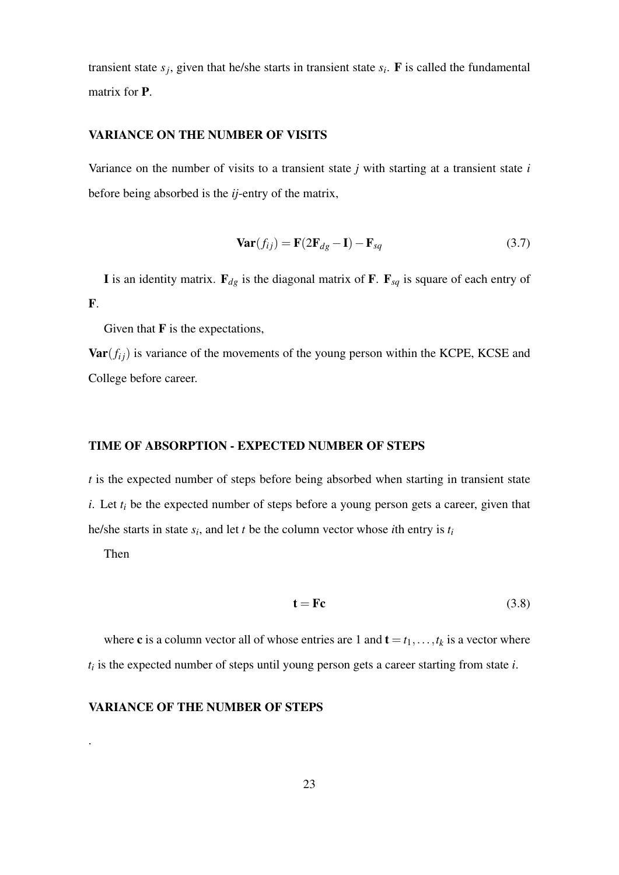transient state  $s_j$ , given that he/she starts in transient state  $s_i$ . **F** is called the fundamental matrix for P.

#### VARIANCE ON THE NUMBER OF VISITS

Variance on the number of visits to a transient state *j* with starting at a transient state *i* before being absorbed is the *ij*-entry of the matrix,

$$
\mathbf{Var}(f_{ij}) = \mathbf{F}(2\mathbf{F}_{dg} - \mathbf{I}) - \mathbf{F}_{sq}
$$
 (3.7)

**I** is an identity matrix.  $\mathbf{F}_{dg}$  is the diagonal matrix of **F**.  $\mathbf{F}_{sg}$  is square of each entry of F.

Given that  $\bf{F}$  is the expectations,

 $\text{Var}(f_{ij})$  is variance of the movements of the young person within the KCPE, KCSE and College before career.

#### TIME OF ABSORPTION - EXPECTED NUMBER OF STEPS

*t* is the expected number of steps before being absorbed when starting in transient state *i*. Let  $t_i$  be the expected number of steps before a young person gets a career, given that he/she starts in state *s<sup>i</sup>* , and let *t* be the column vector whose *i*th entry is *t<sup>i</sup>*

Then

.

$$
\mathbf{t} = \mathbf{F}\mathbf{c} \tag{3.8}
$$

where **c** is a column vector all of whose entries are 1 and  $\mathbf{t} = t_1, \dots, t_k$  is a vector where *ti* is the expected number of steps until young person gets a career starting from state *i*.

#### VARIANCE OF THE NUMBER OF STEPS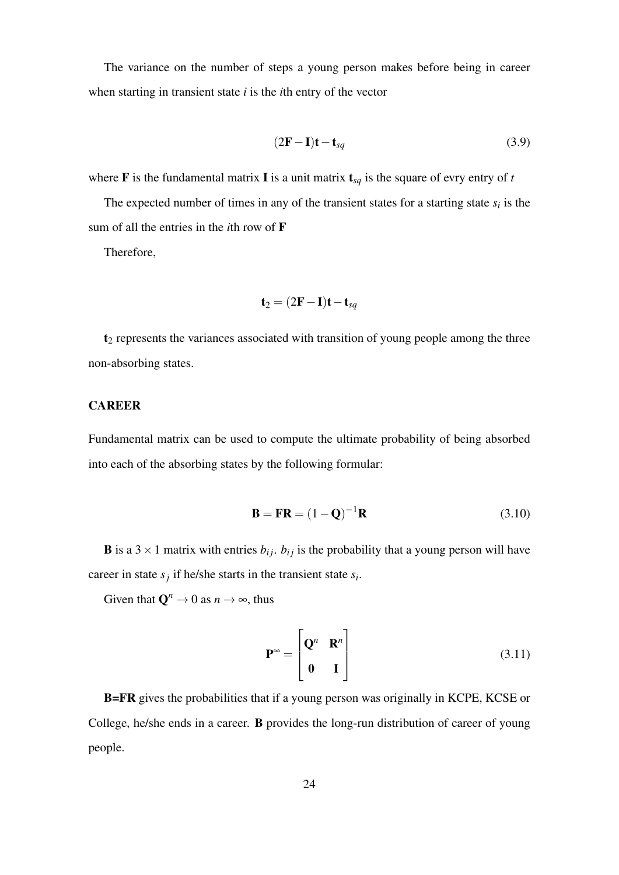The variance on the number of steps a young person makes before being in career when starting in transient state *i* is the *i*th entry of the vector

$$
(2\mathbf{F}-\mathbf{I})\mathbf{t}-\mathbf{t}_{sq} \tag{3.9}
$$

where **F** is the fundamental matrix **I** is a unit matrix  $\mathbf{t}_{sq}$  is the square of evry entry of *t* 

The expected number of times in any of the transient states for a starting state  $s_i$  is the sum of all the entries in the *i*th row of F

Therefore,

$$
\mathbf{t}_2 = (2\mathbf{F} - \mathbf{I})\mathbf{t} - \mathbf{t}_{sq}
$$

 $t<sub>2</sub>$  represents the variances associated with transition of young people among the three non-absorbing states.

#### **CAREER**

Fundamental matrix can be used to compute the ultimate probability of being absorbed into each of the absorbing states by the following formular:

$$
\mathbf{B} = \mathbf{F}\mathbf{R} = (1 - \mathbf{Q})^{-1}\mathbf{R}
$$
 (3.10)

**B** is a 3  $\times$  1 matrix with entries  $b_{ij}$ .  $b_{ij}$  is the probability that a young person will have career in state  $s_j$  if he/she starts in the transient state  $s_i$ .

Given that  $\mathbf{Q}^n \to 0$  as  $n \to \infty$ , thus

<span id="page-33-0"></span>
$$
\mathbf{P}^{\infty} = \begin{bmatrix} \mathbf{Q}^n & \mathbf{R}^n \\ \mathbf{0} & \mathbf{I} \end{bmatrix}
$$
 (3.11)

B=FR gives the probabilities that if a young person was originally in KCPE, KCSE or College, he/she ends in a career. B provides the long-run distribution of career of young people.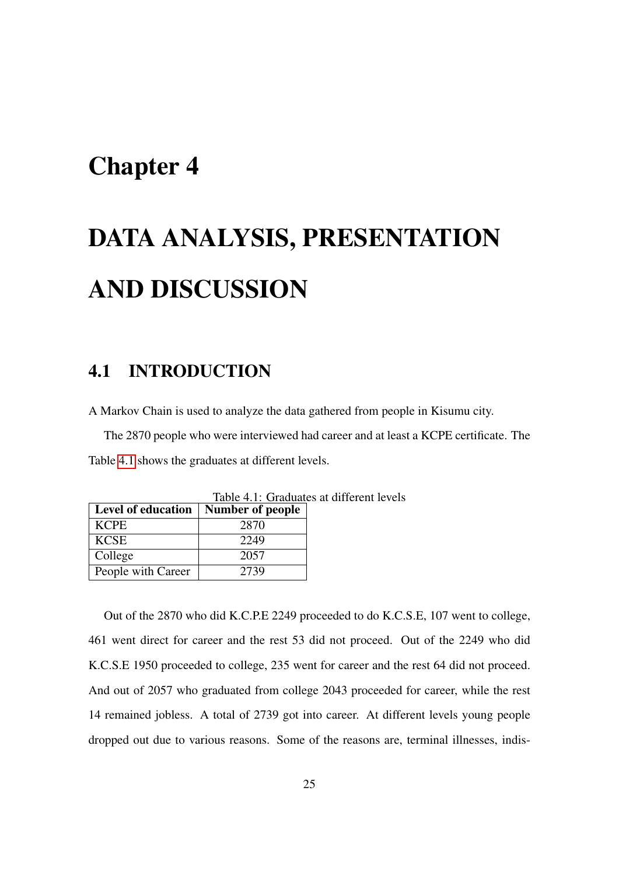# <span id="page-34-0"></span>Chapter 4

# DATA ANALYSIS, PRESENTATION AND DISCUSSION

# <span id="page-34-1"></span>4.1 INTRODUCTION

A Markov Chain is used to analyze the data gathered from people in Kisumu city.

The 2870 people who were interviewed had career and at least a KCPE certificate. The Table [4.1](#page-34-2) shows the graduates at different levels.

| <b>Level of education</b> | Number of people |  |
|---------------------------|------------------|--|
| <b>KCPE</b>               | 2870             |  |
| <b>KCSE</b>               | 2249             |  |
| College                   | 2057             |  |
| People with Career        | 2739             |  |

<span id="page-34-2"></span>Table 4.1: Graduates at different levels

Out of the 2870 who did K.C.P.E 2249 proceeded to do K.C.S.E, 107 went to college, 461 went direct for career and the rest 53 did not proceed. Out of the 2249 who did K.C.S.E 1950 proceeded to college, 235 went for career and the rest 64 did not proceed. And out of 2057 who graduated from college 2043 proceeded for career, while the rest 14 remained jobless. A total of 2739 got into career. At different levels young people dropped out due to various reasons. Some of the reasons are, terminal illnesses, indis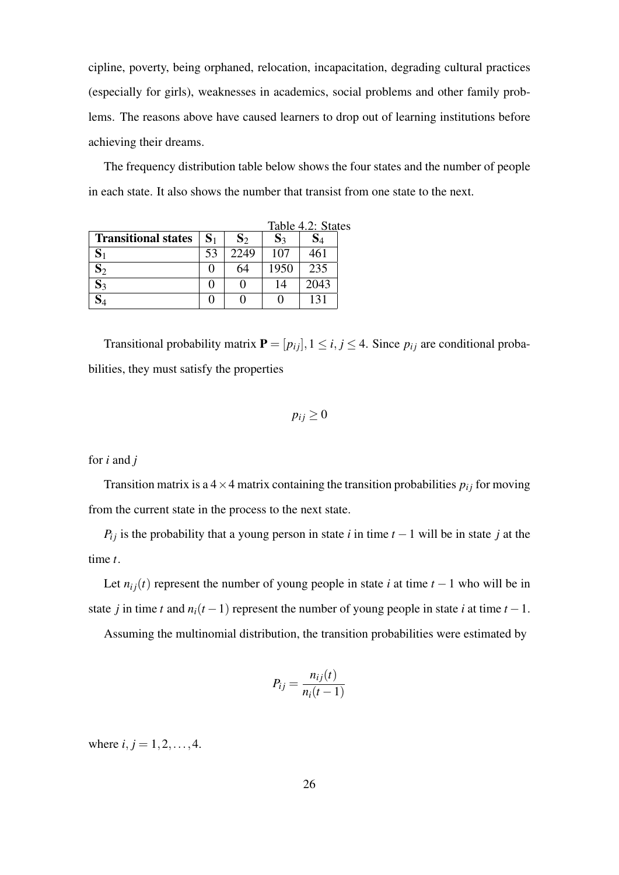cipline, poverty, being orphaned, relocation, incapacitation, degrading cultural practices (especially for girls), weaknesses in academics, social problems and other family problems. The reasons above have caused learners to drop out of learning institutions before achieving their dreams.

The frequency distribution table below shows the four states and the number of people in each state. It also shows the number that transist from one state to the next.

|                            |                |       |       | Table 4.2: States |  |
|----------------------------|----------------|-------|-------|-------------------|--|
| <b>Transitional states</b> | S <sub>1</sub> | $S_2$ | $S_3$ |                   |  |
|                            | 53             | 2249  | 107   | 461               |  |
| $\mathbf{S}_2$             |                | 64    | 1950  | 235               |  |
|                            |                |       |       | 2043              |  |
|                            |                |       |       | 131               |  |

Transitional probability matrix  $P = [p_{ij}], 1 \le i, j \le 4$ . Since  $p_{ij}$  are conditional probabilities, they must satisfy the properties

<span id="page-35-0"></span>
$$
p_{ij}\geq 0
$$

for *i* and *j*

Transition matrix is a  $4 \times 4$  matrix containing the transition probabilities  $p_{ij}$  for moving from the current state in the process to the next state.

*P<sub>ij</sub>* is the probability that a young person in state *i* in time  $t - 1$  will be in state *j* at the time *t*.

Let  $n_{ij}(t)$  represent the number of young people in state *i* at time  $t - 1$  who will be in state *j* in time *t* and  $n_i(t-1)$  represent the number of young people in state *i* at time  $t-1$ .

Assuming the multinomial distribution, the transition probabilities were estimated by

$$
P_{ij} = \frac{n_{ij}(t)}{n_i(t-1)}
$$

where  $i, j = 1, 2, ..., 4$ .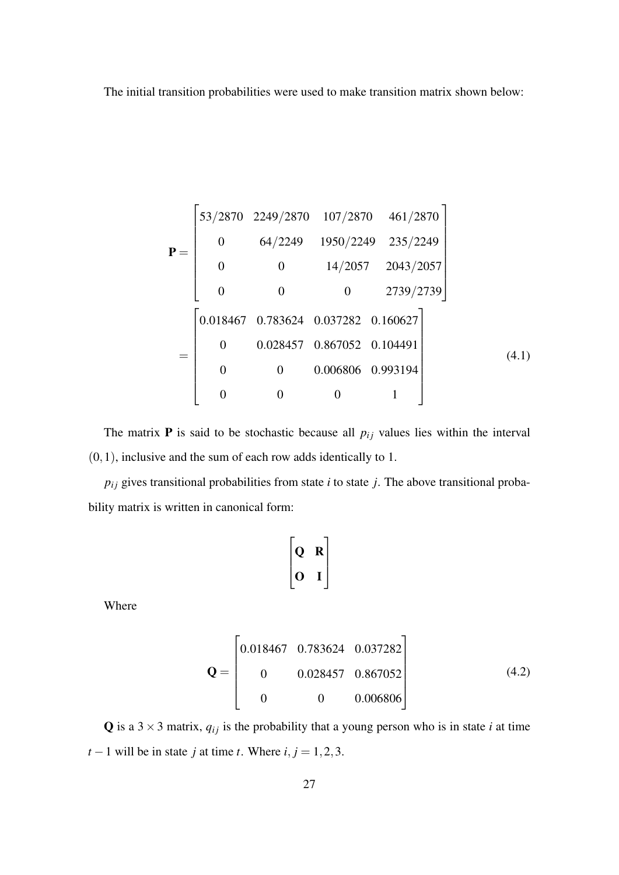The initial transition probabilities were used to make transition matrix shown below:

$$
\mathbf{P} = \begin{bmatrix} 53/2870 & 2249/2870 & 107/2870 & 461/2870 \\ 0 & 64/2249 & 1950/2249 & 235/2249 \\ 0 & 0 & 14/2057 & 2043/2057 \\ 0 & 0 & 0 & 2739/2739 \end{bmatrix}
$$

$$
= \begin{bmatrix} 0.018467 & 0.783624 & 0.037282 & 0.160627 \\ 0 & 0.028457 & 0.867052 & 0.104491 \\ 0 & 0 & 0.006806 & 0.993194 \\ 0 & 0 & 0 & 1 \end{bmatrix}
$$
(4.1)

The matrix  $P$  is said to be stochastic because all  $p_{ij}$  values lies within the interval  $(0,1)$ , inclusive and the sum of each row adds identically to 1.

 $p_{ij}$  gives transitional probabilities from state *i* to state *j*. The above transitional probability matrix is written in canonical form:

$$
\begin{bmatrix} Q & R \\ O & I \end{bmatrix}
$$

Where

$$
\mathbf{Q} = \begin{bmatrix} 0.018467 & 0.783624 & 0.037282 \\ 0 & 0.028457 & 0.867052 \\ 0 & 0 & 0.006806 \end{bmatrix} \tag{4.2}
$$

**Q** is a  $3 \times 3$  matrix,  $q_{ij}$  is the probability that a young person who is in state *i* at time *t* − 1 will be in state *j* at time *t*. Where  $i, j = 1, 2, 3$ .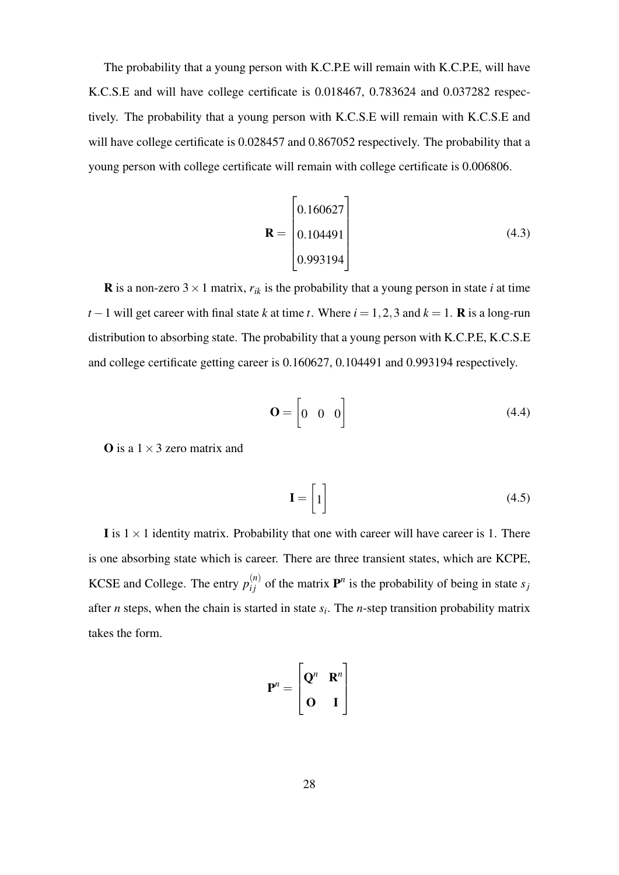The probability that a young person with K.C.P.E will remain with K.C.P.E, will have K.C.S.E and will have college certificate is 0.018467, 0.783624 and 0.037282 respectively. The probability that a young person with K.C.S.E will remain with K.C.S.E and will have college certificate is 0.028457 and 0.867052 respectively. The probability that a young person with college certificate will remain with college certificate is 0.006806.

$$
\mathbf{R} = \begin{bmatrix} 0.160627 \\ 0.104491 \\ 0.993194 \end{bmatrix}
$$
 (4.3)

**R** is a non-zero  $3 \times 1$  matrix,  $r_{ik}$  is the probability that a young person in state *i* at time *t* − 1 will get career with final state *k* at time *t*. Where  $i = 1, 2, 3$  and  $k = 1$ . **R** is a long-run distribution to absorbing state. The probability that a young person with K.C.P.E, K.C.S.E and college certificate getting career is 0.160627, 0.104491 and 0.993194 respectively.

$$
\mathbf{O} = \begin{bmatrix} 0 & 0 & 0 \end{bmatrix} \tag{4.4}
$$

**O** is a  $1 \times 3$  zero matrix and

$$
\mathbf{I} = \begin{bmatrix} 1 \end{bmatrix} \tag{4.5}
$$

I is  $1 \times 1$  identity matrix. Probability that one with career will have career is 1. There is one absorbing state which is career. There are three transient states, which are KCPE, KCSE and College. The entry  $p_{ij}^{(n)}$  of the matrix  $\mathbf{P}^n$  is the probability of being in state  $s_j$ after *n* steps, when the chain is started in state *s<sup>i</sup>* . The *n*-step transition probability matrix takes the form.

$$
\mathbf{P}^n = \begin{bmatrix} \mathbf{Q}^n & \mathbf{R}^n \\ \mathbf{O} & \mathbf{I} \end{bmatrix}
$$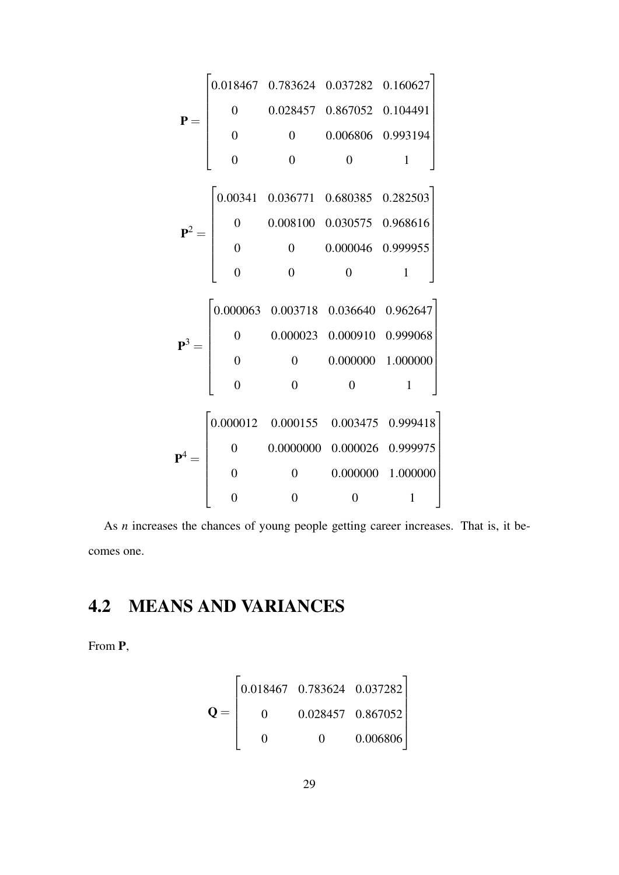$$
\mathbf{P} = \begin{bmatrix}\n0.018467 & 0.783624 & 0.037282 & 0.160627 \\
0 & 0.028457 & 0.867052 & 0.104491 \\
0 & 0 & 0.006806 & 0.993194 \\
0 & 0 & 0 & 1\n\end{bmatrix}
$$
\n
$$
\mathbf{P}^{2} = \begin{bmatrix}\n0.00341 & 0.036771 & 0.680385 & 0.282503 \\
0 & 0.008100 & 0.030575 & 0.968616 \\
0 & 0 & 0.000046 & 0.999955 \\
0 & 0 & 0 & 1\n\end{bmatrix}
$$
\n
$$
\mathbf{P}^{3} = \begin{bmatrix}\n0.000063 & 0.003718 & 0.036640 & 0.962647 \\
0 & 0.000023 & 0.000910 & 0.999068 \\
0 & 0 & 0.000000 & 1.000000 \\
0 & 0 & 0 & 1\n\end{bmatrix}
$$
\n
$$
\mathbf{P}^{4} = \begin{bmatrix}\n0.000012 & 0.000155 & 0.003475 & 0.999418 \\
0 & 0.0000000 & 0.000026 & 0.999975 \\
0 & 0 & 0.000000 & 1.000000 \\
0 & 0 & 0 & 1\n\end{bmatrix}
$$

As *n* increases the chances of young people getting career increases. That is, it becomes one.

# <span id="page-38-0"></span>4.2 MEANS AND VARIANCES

From P,

$$
\mathbf{Q} = \begin{bmatrix} 0.018467 & 0.783624 & 0.037282 \\ 0 & 0.028457 & 0.867052 \\ 0 & 0 & 0.006806 \end{bmatrix}
$$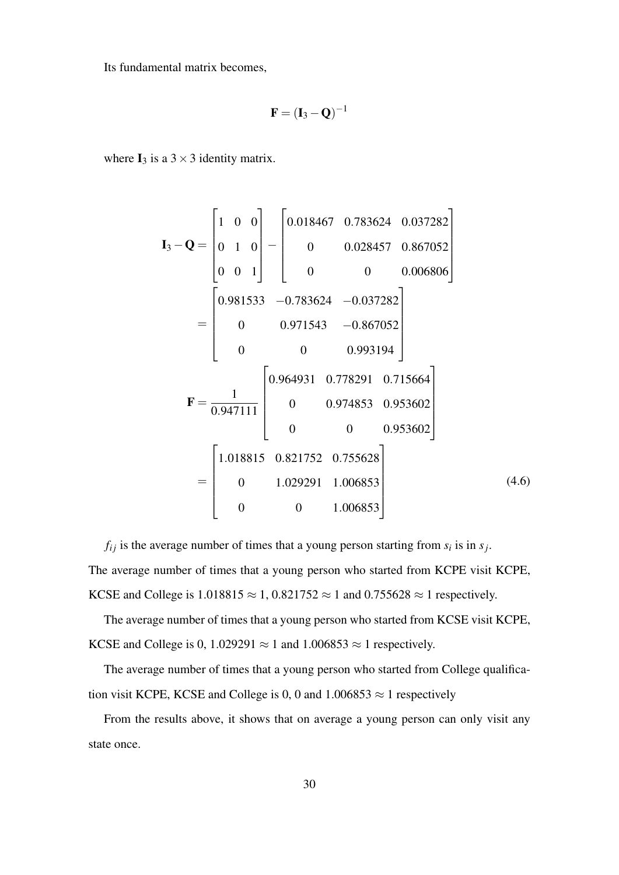Its fundamental matrix becomes,

$$
\mathbf{F} = (\mathbf{I}_3 - \mathbf{Q})^{-1}
$$

where  $I_3$  is a 3  $\times$  3 identity matrix.

$$
\mathbf{I}_3 - \mathbf{Q} = \begin{bmatrix} 1 & 0 & 0 \\ 0 & 1 & 0 \\ 0 & 0 & 1 \end{bmatrix} - \begin{bmatrix} 0.018467 & 0.783624 & 0.037282 \\ 0 & 0.028457 & 0.867052 \\ 0 & 0 & 0.006806 \end{bmatrix}
$$

$$
= \begin{bmatrix} 0.981533 & -0.783624 & -0.037282 \\ 0 & 0.971543 & -0.867052 \\ 0 & 0 & 0.993194 \end{bmatrix}
$$

$$
\mathbf{F} = \frac{1}{0.947111} \begin{bmatrix} 0.964931 & 0.778291 & 0.71564 \\ 0 & 0.974853 & 0.953602 \\ 0 & 0 & 0.953602 \end{bmatrix}
$$

$$
= \begin{bmatrix} 1.018815 & 0.821752 & 0.755628 \\ 0 & 1.029291 & 1.006853 \\ 0 & 0 & 1.006853 \end{bmatrix}
$$
(4.6)

 $f_{ij}$  is the average number of times that a young person starting from  $s_i$  is in  $s_j$ . The average number of times that a young person who started from KCPE visit KCPE, KCSE and College is  $1.018815 \approx 1, 0.821752 \approx 1$  and  $0.755628 \approx 1$  respectively.

The average number of times that a young person who started from KCSE visit KCPE, KCSE and College is 0, 1.029291  $\approx$  1 and 1.006853  $\approx$  1 respectively.

The average number of times that a young person who started from College qualification visit KCPE, KCSE and College is 0, 0 and  $1.006853 \approx 1$  respectively

From the results above, it shows that on average a young person can only visit any state once.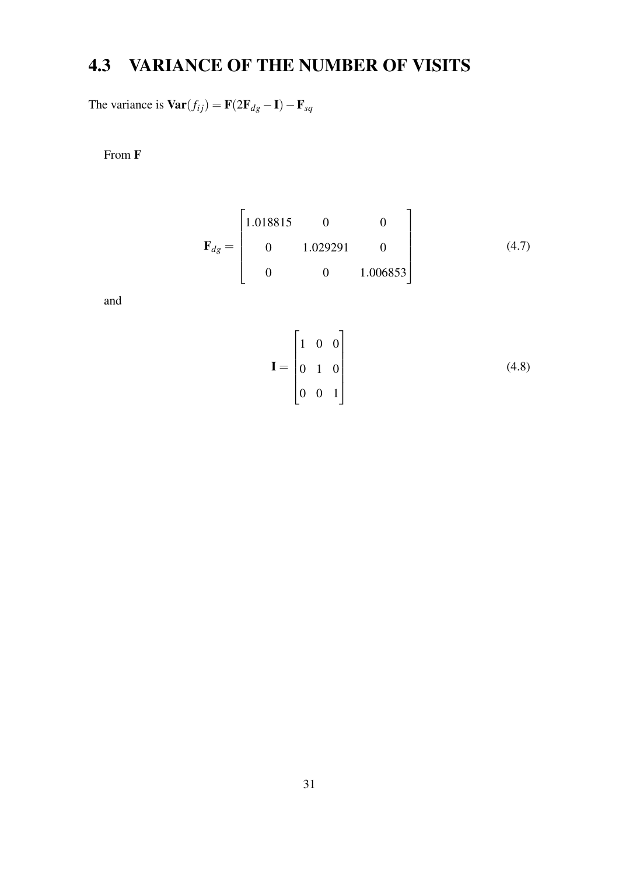# <span id="page-40-0"></span>4.3 VARIANCE OF THE NUMBER OF VISITS

The variance is  $\text{Var}(f_{ij}) = \textbf{F}(2\textbf{F}_{dg} - \textbf{I}) - \textbf{F}_{sq}$ 

From F

$$
\mathbf{F}_{dg} = \begin{bmatrix} 1.018815 & 0 & 0 \\ 0 & 1.029291 & 0 \\ 0 & 0 & 1.006853 \end{bmatrix}
$$
 (4.7)

and

$$
\mathbf{I} = \begin{bmatrix} 1 & 0 & 0 \\ 0 & 1 & 0 \\ 0 & 0 & 1 \end{bmatrix}
$$
 (4.8)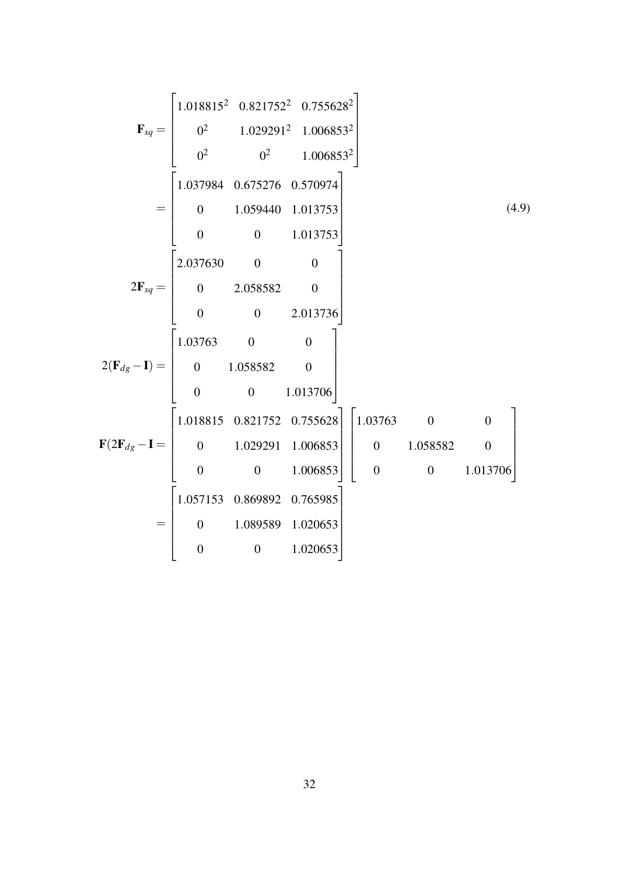$$
\mathbf{F}_{sq} = \begin{bmatrix}\n1.018815^2 & 0.821752^2 & 0.755628^2 \\
0^2 & 1.029291^2 & 1.006853^2 \\
0^2 & 0^2 & 1.006853^2\n\end{bmatrix}
$$
\n
$$
= \begin{bmatrix}\n1.037984 & 0.675276 & 0.570974 \\
0 & 1.059440 & 1.013753 \\
0 & 0 & 1.013753\n\end{bmatrix}
$$
\n(4.9)\n
$$
2\mathbf{F}_{sq} = \begin{bmatrix}\n2.037630 & 0 & 0 \\
0 & 2.058582 & 0 \\
0 & 0 & 2.013736\n\end{bmatrix}
$$
\n
$$
2(\mathbf{F}_{dg} - \mathbf{I}) = \begin{bmatrix}\n1.03763 & 0 & 0 \\
0 & 1.058582 & 0 \\
0 & 0 & 1.013706\n\end{bmatrix}
$$
\n
$$
\mathbf{F}(2\mathbf{F}_{dg} - \mathbf{I} = \begin{bmatrix}\n1.018815 & 0.821752 & 0.755628 \\
0 & 1.029291 & 1.006853 \\
0 & 0 & 1.006853\n\end{bmatrix} \begin{bmatrix}\n1.03763 & 0 & 0 \\
0 & 1.058582 & 0 \\
0 & 0 & 1.013706\n\end{bmatrix}
$$
\n
$$
= \begin{bmatrix}\n1.057153 & 0.869892 & 0.765985 \\
0 & 1.089589 & 1.020653 \\
0 & 0 & 1.020653\n\end{bmatrix}
$$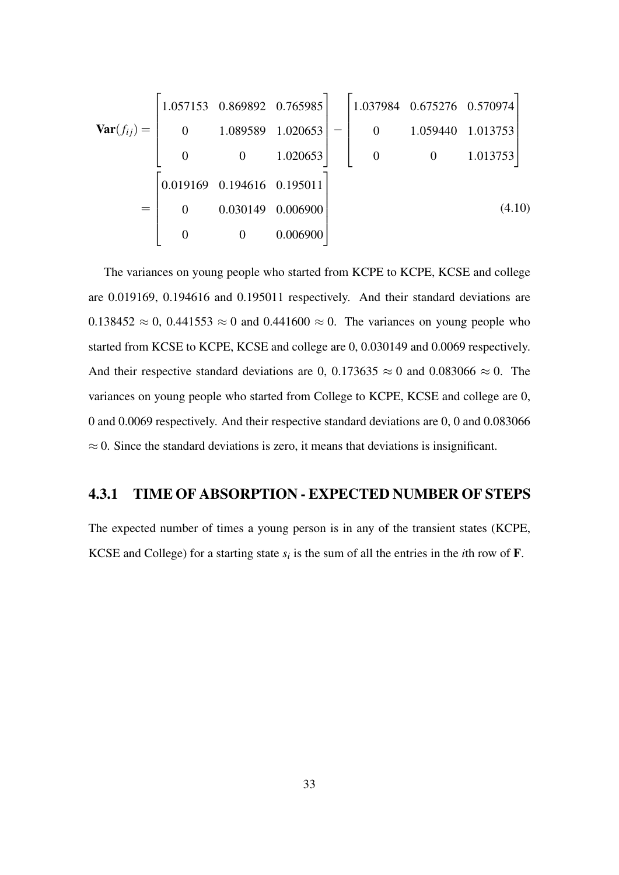$$
\mathbf{Var}(f_{ij}) = \begin{bmatrix} 1.057153 & 0.869892 & 0.765985 \\ 0 & 1.089589 & 1.020653 \\ 0 & 0 & 1.020653 \end{bmatrix} - \begin{bmatrix} 1.037984 & 0.675276 & 0.570974 \\ 0 & 1.059440 & 1.013753 \\ 0 & 0 & 1.013753 \end{bmatrix}
$$

$$
= \begin{bmatrix} 0.019169 & 0.194616 & 0.195011 \\ 0 & 0.030149 & 0.006900 \\ 0 & 0 & 0.006900 \end{bmatrix}
$$
(4.10)

The variances on young people who started from KCPE to KCPE, KCSE and college are 0.019169, 0.194616 and 0.195011 respectively. And their standard deviations are  $0.138452 \approx 0$ ,  $0.441553 \approx 0$  and  $0.441600 \approx 0$ . The variances on young people who started from KCSE to KCPE, KCSE and college are 0, 0.030149 and 0.0069 respectively. And their respective standard deviations are 0, 0.173635  $\approx$  0 and 0.083066  $\approx$  0. The variances on young people who started from College to KCPE, KCSE and college are 0, 0 and 0.0069 respectively. And their respective standard deviations are 0, 0 and 0.083066  $\approx$  0. Since the standard deviations is zero, it means that deviations is insignificant.

### <span id="page-42-0"></span>4.3.1 TIME OF ABSORPTION - EXPECTED NUMBER OF STEPS

The expected number of times a young person is in any of the transient states (KCPE, KCSE and College) for a starting state  $s_i$  is the sum of all the entries in the *i*th row of **F**.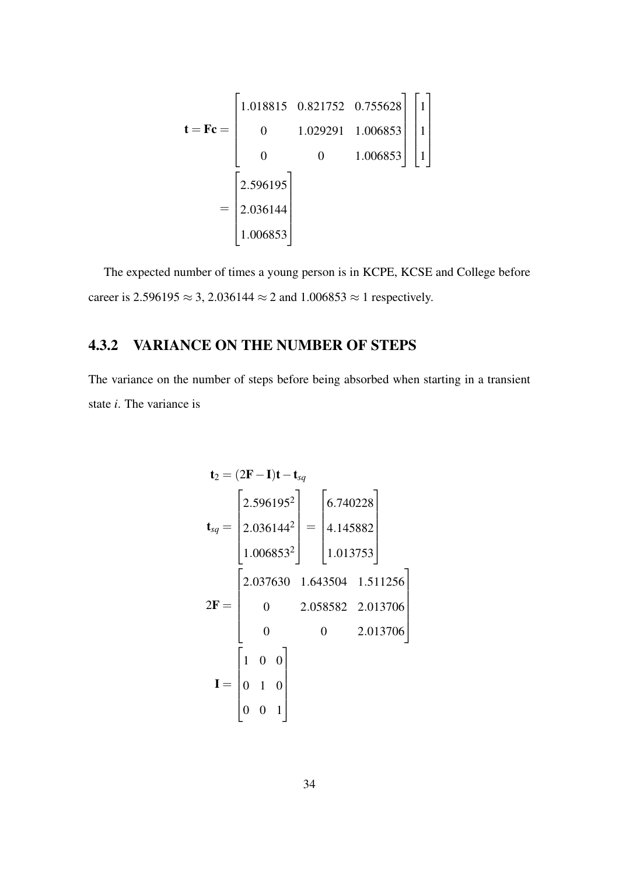$$
\mathbf{t} = \mathbf{F} \mathbf{c} = \begin{bmatrix} 1.018815 & 0.821752 & 0.755628 \\ 0 & 1.029291 & 1.006853 \\ 0 & 0 & 1.006853 \end{bmatrix} \begin{bmatrix} 1 \\ 1 \\ 1 \end{bmatrix}
$$

$$
= \begin{bmatrix} 2.596195 \\ 2.036144 \\ 1.006853 \end{bmatrix}
$$

The expected number of times a young person is in KCPE, KCSE and College before career is 2.596195  $\approx$  3, 2.036144  $\approx$  2 and 1.006853  $\approx$  1 respectively.

### <span id="page-43-0"></span>4.3.2 VARIANCE ON THE NUMBER OF STEPS

The variance on the number of steps before being absorbed when starting in a transient state *i*. The variance is

$$
\mathbf{t}_{2} = (2\mathbf{F} - \mathbf{I})\mathbf{t} - \mathbf{t}_{sq}
$$
\n
$$
\mathbf{t}_{sq} = \begin{bmatrix} 2.596195^2 \\ 2.036144^2 \\ 1.006853^2 \end{bmatrix} = \begin{bmatrix} 6.740228 \\ 4.145882 \\ 1.013753 \end{bmatrix}
$$
\n
$$
2\mathbf{F} = \begin{bmatrix} 2.037630 & 1.643504 & 1.511256 \\ 0 & 2.058582 & 2.013706 \\ 0 & 0 & 2.013706 \end{bmatrix}
$$
\n
$$
\mathbf{I} = \begin{bmatrix} 1 & 0 & 0 \\ 0 & 1 & 0 \\ 0 & 0 & 1 \end{bmatrix}
$$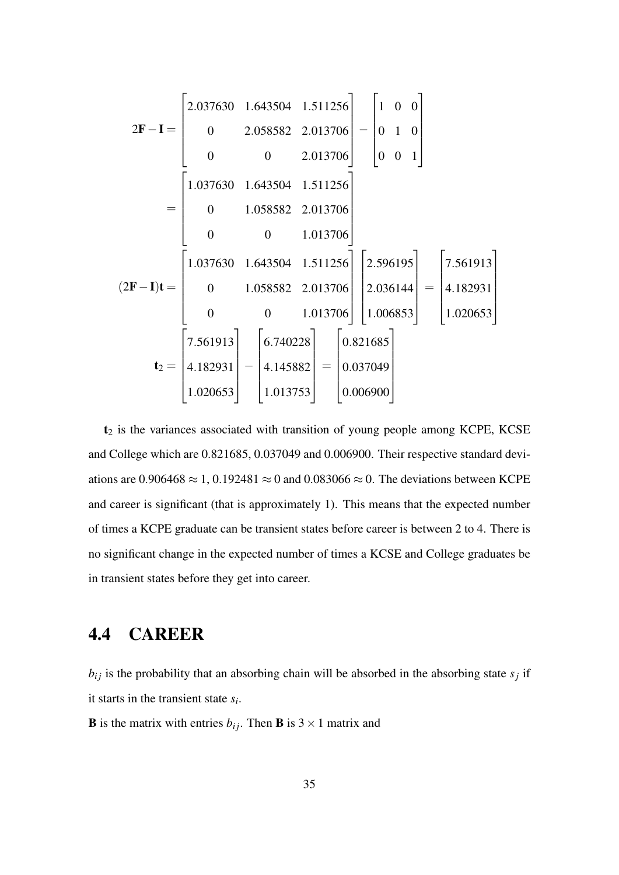$$
2\mathbf{F} - \mathbf{I} = \begin{bmatrix} 2.037630 & 1.643504 & 1.511256 \ 0 & 2.058582 & 2.013706 \ 0 & 0 & 2.013706 \end{bmatrix} - \begin{bmatrix} 1 & 0 & 0 \ 0 & 1 & 0 \ 0 & 0 & 1 \end{bmatrix}
$$

$$
= \begin{bmatrix} 1.037630 & 1.643504 & 1.511256 \ 0 & 1.058582 & 2.013706 \ 0 & 0 & 1.013706 \end{bmatrix}
$$

$$
(2\mathbf{F} - \mathbf{I})\mathbf{t} = \begin{bmatrix} 1.037630 & 1.643504 & 1.511256 \ 0 & 1.058582 & 2.013706 \ 0 & 0 & 1.013706 \end{bmatrix} \begin{bmatrix} 2.596195 \ 2.036144 \ 1.006853 \end{bmatrix} = \begin{bmatrix} 7.561913 \ 4.182931 \ 1.020653 \end{bmatrix}
$$

$$
\mathbf{t}_2 = \begin{bmatrix} 7.561913 \ 4.182931 \ 1.020653 \end{bmatrix} - \begin{bmatrix} 6.740228 \ 4.145882 \ 1.013753 \end{bmatrix} = \begin{bmatrix} 0.821685 \ 0.037049 \ 0.006900 \end{bmatrix}
$$

 $t_2$  is the variances associated with transition of young people among KCPE, KCSE and College which are 0.821685, 0.037049 and 0.006900. Their respective standard deviations are 0.906468  $\approx$  1, 0.192481  $\approx$  0 and 0.083066  $\approx$  0. The deviations between KCPE and career is significant (that is approximately 1). This means that the expected number of times a KCPE graduate can be transient states before career is between 2 to 4. There is no significant change in the expected number of times a KCSE and College graduates be in transient states before they get into career.

# <span id="page-44-0"></span>4.4 CAREER

 $b_{ij}$  is the probability that an absorbing chain will be absorbed in the absorbing state  $s_j$  if it starts in the transient state *s<sup>i</sup>* .

**B** is the matrix with entries  $b_{ij}$ . Then **B** is  $3 \times 1$  matrix and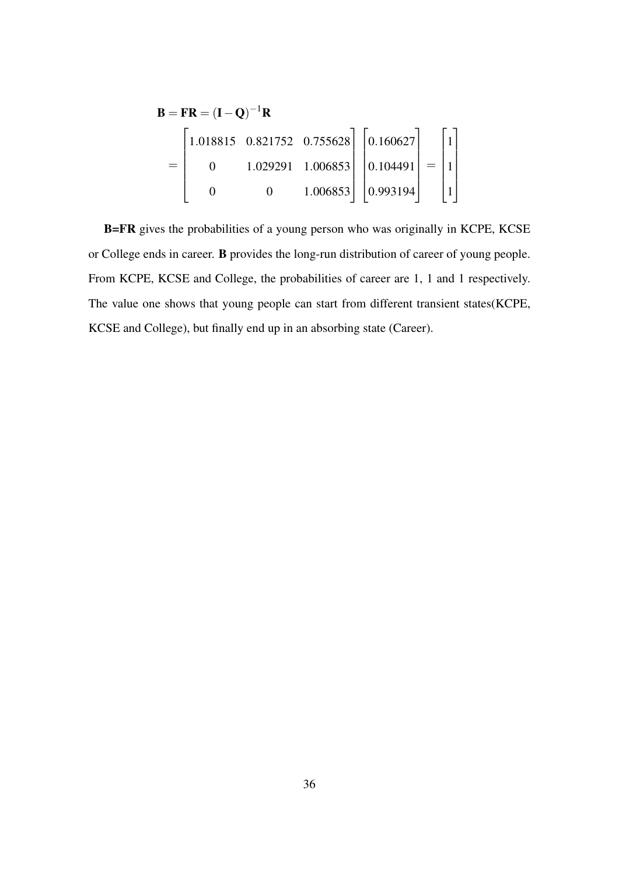$$
\mathbf{B} = \mathbf{F} \mathbf{R} = (\mathbf{I} - \mathbf{Q})^{-1} \mathbf{R}
$$
  
= 
$$
\begin{bmatrix} 1.018815 & 0.821752 & 0.755628 \\ 0 & 1.029291 & 1.006853 \\ 0 & 0 & 1.006853 \end{bmatrix} \begin{bmatrix} 0.160627 \\ 0.104491 \\ 0.993194 \end{bmatrix} = \begin{bmatrix} 1 \\ 1 \\ 1 \end{bmatrix}
$$

B=FR gives the probabilities of a young person who was originally in KCPE, KCSE or College ends in career. B provides the long-run distribution of career of young people. From KCPE, KCSE and College, the probabilities of career are 1, 1 and 1 respectively. The value one shows that young people can start from different transient states(KCPE, KCSE and College), but finally end up in an absorbing state (Career).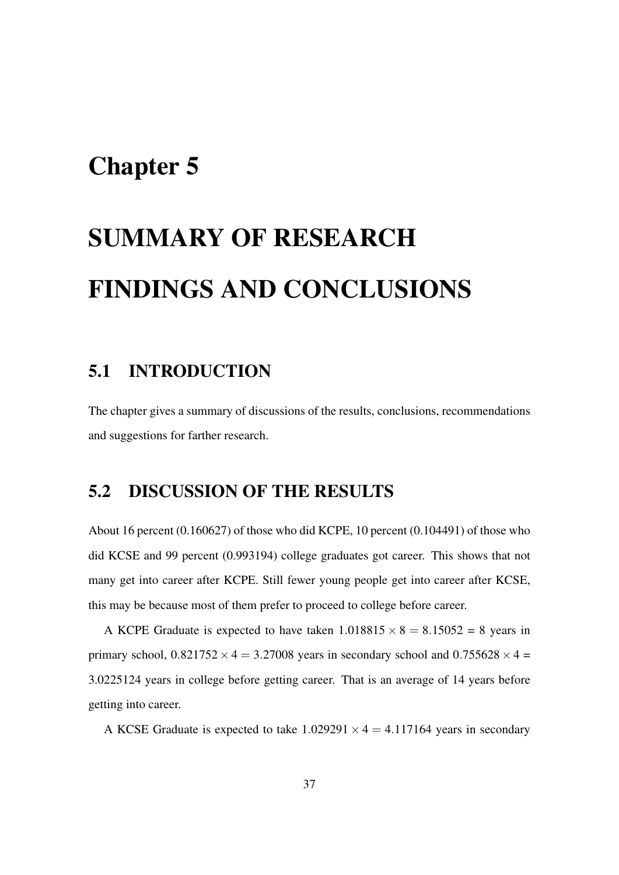# <span id="page-46-0"></span>Chapter 5

# SUMMARY OF RESEARCH FINDINGS AND CONCLUSIONS

# <span id="page-46-1"></span>5.1 INTRODUCTION

The chapter gives a summary of discussions of the results, conclusions, recommendations and suggestions for farther research.

# <span id="page-46-2"></span>5.2 DISCUSSION OF THE RESULTS

About 16 percent (0.160627) of those who did KCPE, 10 percent (0.104491) of those who did KCSE and 99 percent (0.993194) college graduates got career. This shows that not many get into career after KCPE. Still fewer young people get into career after KCSE, this may be because most of them prefer to proceed to college before career.

A KCPE Graduate is expected to have taken  $1.018815 \times 8 = 8.15052 = 8$  years in primary school,  $0.821752 \times 4 = 3.27008$  years in secondary school and  $0.755628 \times 4 =$ 3.0225124 years in college before getting career. That is an average of 14 years before getting into career.

A KCSE Graduate is expected to take  $1.029291 \times 4 = 4.117164$  years in secondary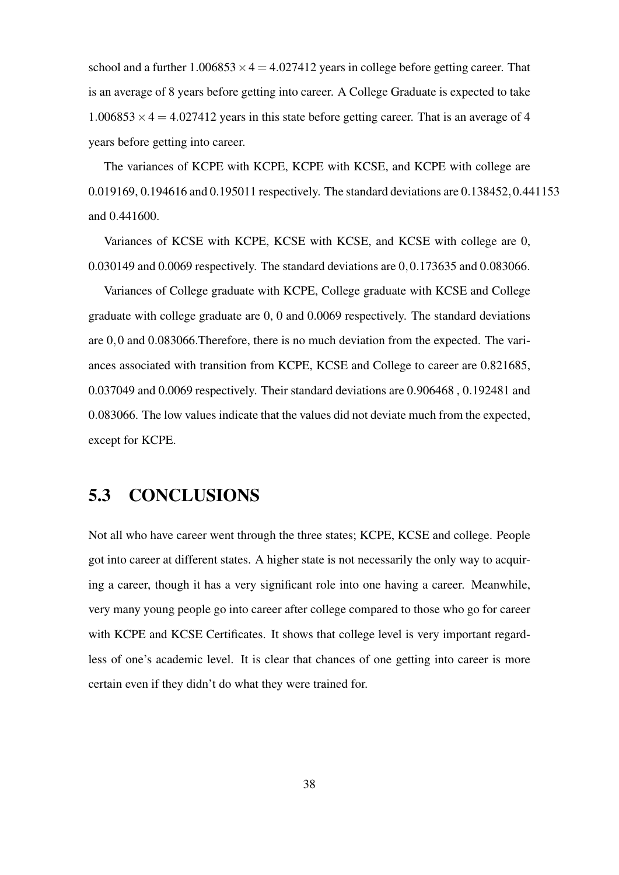school and a further  $1.006853 \times 4 = 4.027412$  years in college before getting career. That is an average of 8 years before getting into career. A College Graduate is expected to take  $1.006853 \times 4 = 4.027412$  years in this state before getting career. That is an average of 4 years before getting into career.

The variances of KCPE with KCPE, KCPE with KCSE, and KCPE with college are 0.019169, 0.194616 and 0.195011 respectively. The standard deviations are 0.138452,0.441153 and 0.441600.

Variances of KCSE with KCPE, KCSE with KCSE, and KCSE with college are 0, 0.030149 and 0.0069 respectively. The standard deviations are 0,0.173635 and 0.083066.

Variances of College graduate with KCPE, College graduate with KCSE and College graduate with college graduate are 0, 0 and 0.0069 respectively. The standard deviations are 0,0 and 0.083066.Therefore, there is no much deviation from the expected. The variances associated with transition from KCPE, KCSE and College to career are 0.821685, 0.037049 and 0.0069 respectively. Their standard deviations are 0.906468 , 0.192481 and 0.083066. The low values indicate that the values did not deviate much from the expected, except for KCPE.

### <span id="page-47-0"></span>5.3 CONCLUSIONS

Not all who have career went through the three states; KCPE, KCSE and college. People got into career at different states. A higher state is not necessarily the only way to acquiring a career, though it has a very significant role into one having a career. Meanwhile, very many young people go into career after college compared to those who go for career with KCPE and KCSE Certificates. It shows that college level is very important regardless of one's academic level. It is clear that chances of one getting into career is more certain even if they didn't do what they were trained for.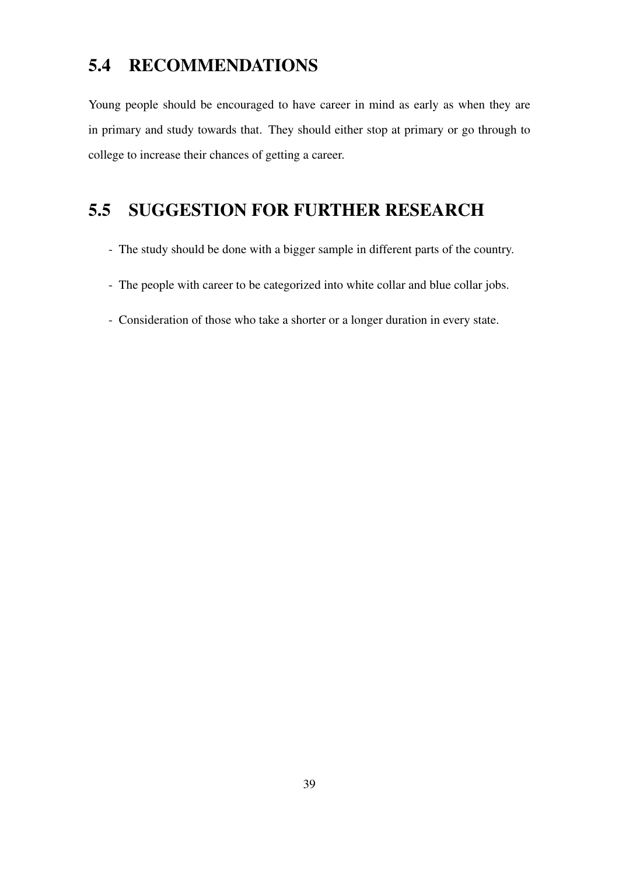# <span id="page-48-0"></span>5.4 RECOMMENDATIONS

Young people should be encouraged to have career in mind as early as when they are in primary and study towards that. They should either stop at primary or go through to college to increase their chances of getting a career.

# <span id="page-48-1"></span>5.5 SUGGESTION FOR FURTHER RESEARCH

- The study should be done with a bigger sample in different parts of the country.
- The people with career to be categorized into white collar and blue collar jobs.
- Consideration of those who take a shorter or a longer duration in every state.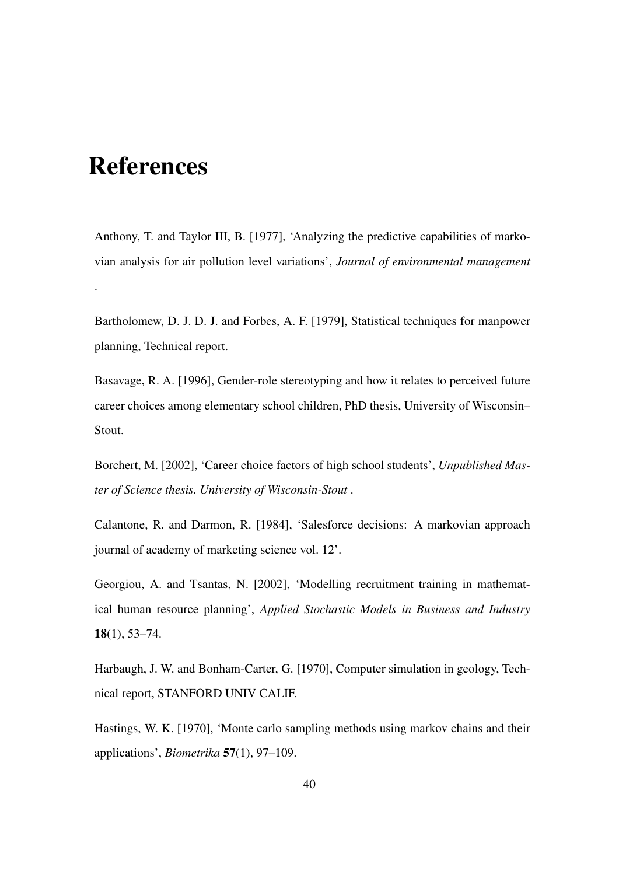# <span id="page-49-0"></span>References

.

<span id="page-49-6"></span>Anthony, T. and Taylor III, B. [1977], 'Analyzing the predictive capabilities of markovian analysis for air pollution level variations', *Journal of environmental management*

<span id="page-49-4"></span>Bartholomew, D. J. D. J. and Forbes, A. F. [1979], Statistical techniques for manpower planning, Technical report.

<span id="page-49-8"></span>Basavage, R. A. [1996], Gender-role stereotyping and how it relates to perceived future career choices among elementary school children, PhD thesis, University of Wisconsin– Stout.

<span id="page-49-2"></span>Borchert, M. [2002], 'Career choice factors of high school students', *Unpublished Master of Science thesis. University of Wisconsin-Stout* .

<span id="page-49-7"></span>Calantone, R. and Darmon, R. [1984], 'Salesforce decisions: A markovian approach journal of academy of marketing science vol. 12'.

<span id="page-49-1"></span>Georgiou, A. and Tsantas, N. [2002], 'Modelling recruitment training in mathematical human resource planning', *Applied Stochastic Models in Business and Industry* 18(1), 53–74.

<span id="page-49-5"></span>Harbaugh, J. W. and Bonham-Carter, G. [1970], Computer simulation in geology, Technical report, STANFORD UNIV CALIF.

<span id="page-49-3"></span>Hastings, W. K. [1970], 'Monte carlo sampling methods using markov chains and their applications', *Biometrika* 57(1), 97–109.